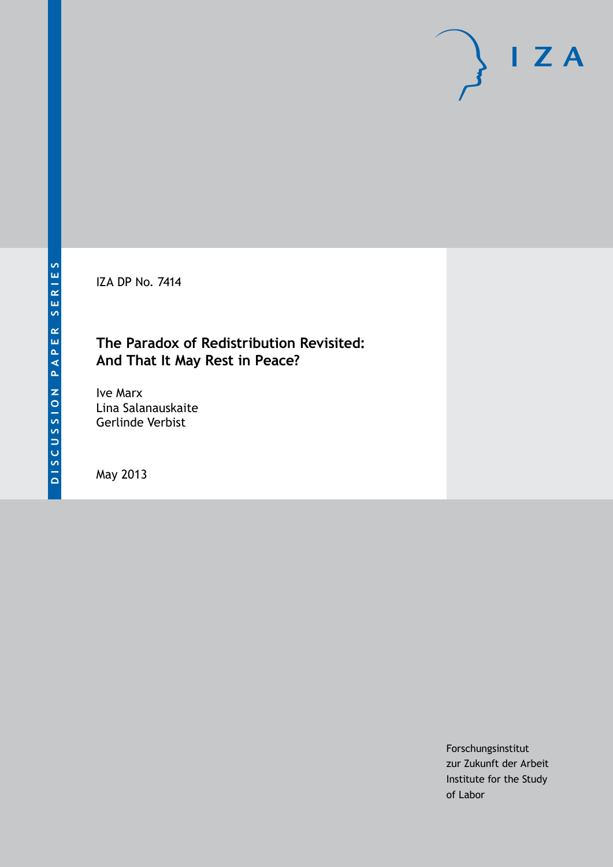IZA DP No. 7414

## **The Paradox of Redistribution Revisited: And That It May Rest in Peace?**

Ive Marx Lina Salanauskaite Gerlinde Verbist

May 2013

Forschungsinstitut zur Zukunft der Arbeit Institute for the Study of Labor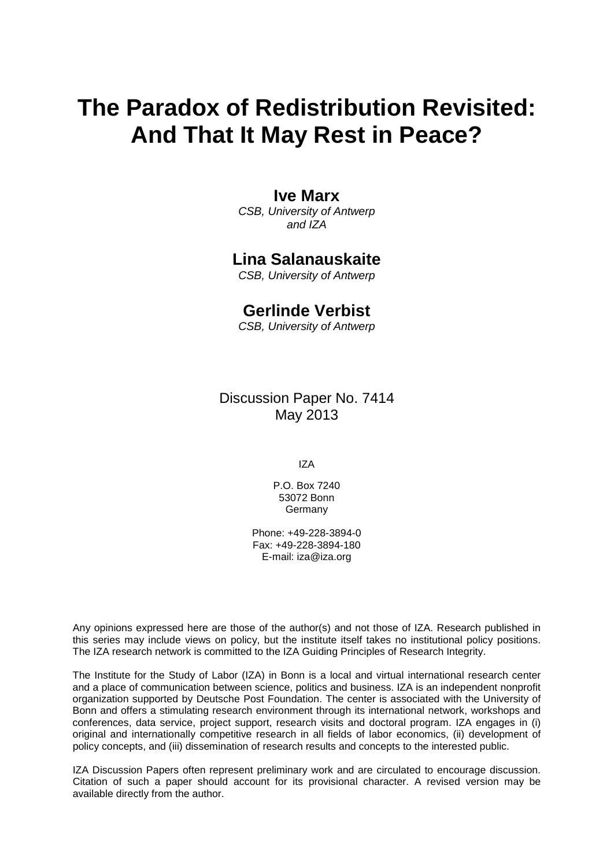# **The Paradox of Redistribution Revisited: And That It May Rest in Peace?**

## **Ive Marx**

*CSB, University of Antwerp and IZA*

## **Lina Salanauskaite**

*CSB, University of Antwerp*

## **Gerlinde Verbist**

*CSB, University of Antwerp*

Discussion Paper No. 7414 May 2013

IZA

P.O. Box 7240 53072 Bonn **Germany** 

Phone: +49-228-3894-0 Fax: +49-228-3894-180 E-mail: [iza@iza.org](mailto:iza@iza.org)

Any opinions expressed here are those of the author(s) and not those of IZA. Research published in this series may include views on policy, but the institute itself takes no institutional policy positions. The IZA research network is committed to the IZA Guiding Principles of Research Integrity.

The Institute for the Study of Labor (IZA) in Bonn is a local and virtual international research center and a place of communication between science, politics and business. IZA is an independent nonprofit organization supported by Deutsche Post Foundation. The center is associated with the University of Bonn and offers a stimulating research environment through its international network, workshops and conferences, data service, project support, research visits and doctoral program. IZA engages in (i) original and internationally competitive research in all fields of labor economics, (ii) development of policy concepts, and (iii) dissemination of research results and concepts to the interested public.

<span id="page-1-0"></span>IZA Discussion Papers often represent preliminary work and are circulated to encourage discussion. Citation of such a paper should account for its provisional character. A revised version may be available directly from the author.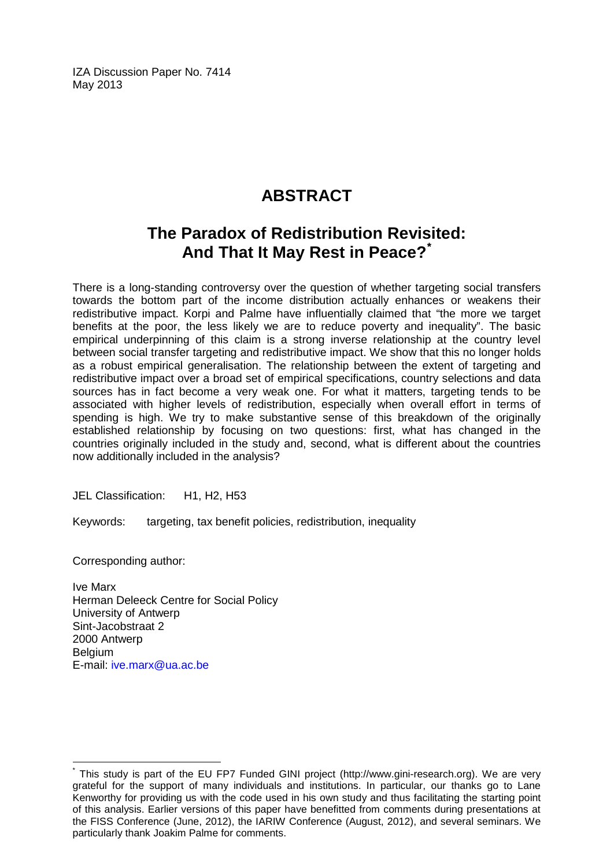IZA Discussion Paper No. 7414 May 2013

## **ABSTRACT**

## **The Paradox of Redistribution Revisited: And That It May Rest in Peace?[\\*](#page-1-0)**

There is a long-standing controversy over the question of whether targeting social transfers towards the bottom part of the income distribution actually enhances or weakens their redistributive impact. Korpi and Palme have influentially claimed that "the more we target benefits at the poor, the less likely we are to reduce poverty and inequality". The basic empirical underpinning of this claim is a strong inverse relationship at the country level between social transfer targeting and redistributive impact. We show that this no longer holds as a robust empirical generalisation. The relationship between the extent of targeting and redistributive impact over a broad set of empirical specifications, country selections and data sources has in fact become a very weak one. For what it matters, targeting tends to be associated with higher levels of redistribution, especially when overall effort in terms of spending is high. We try to make substantive sense of this breakdown of the originally established relationship by focusing on two questions: first, what has changed in the countries originally included in the study and, second, what is different about the countries now additionally included in the analysis?

JEL Classification: H1, H2, H53

Keywords: targeting, tax benefit policies, redistribution, inequality

Corresponding author:

Ive Marx Herman Deleeck Centre for Social Policy University of Antwerp Sint-Jacobstraat 2 2000 Antwerp **Belgium** E-mail: [ive.marx@ua.ac.be](mailto:ive.marx@ua.ac.be)

This study is part of the EU FP7 Funded GINI project (http://www.gini-research.org). We are very grateful for the support of many individuals and institutions. In particular, our thanks go to Lane Kenworthy for providing us with the code used in his own study and thus facilitating the starting point of this analysis. Earlier versions of this paper have benefitted from comments during presentations at the FISS Conference (June, 2012), the IARIW Conference (August, 2012), and several seminars. We particularly thank Joakim Palme for comments.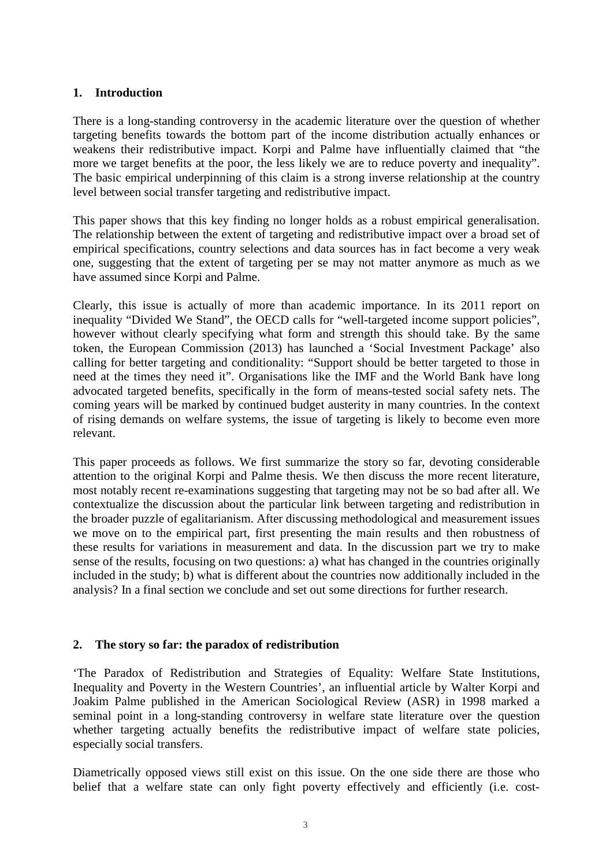## **1. Introduction**

There is a long-standing controversy in the academic literature over the question of whether targeting benefits towards the bottom part of the income distribution actually enhances or weakens their redistributive impact. Korpi and Palme have influentially claimed that "the more we target benefits at the poor, the less likely we are to reduce poverty and inequality". The basic empirical underpinning of this claim is a strong inverse relationship at the country level between social transfer targeting and redistributive impact.

This paper shows that this key finding no longer holds as a robust empirical generalisation. The relationship between the extent of targeting and redistributive impact over a broad set of empirical specifications, country selections and data sources has in fact become a very weak one, suggesting that the extent of targeting per se may not matter anymore as much as we have assumed since Korpi and Palme.

Clearly, this issue is actually of more than academic importance. In its 2011 report on inequality "Divided We Stand", the OECD calls for "well-targeted income support policies", however without clearly specifying what form and strength this should take. By the same token, the European Commission (2013) has launched a 'Social Investment Package' also calling for better targeting and conditionality: "Support should be better targeted to those in need at the times they need it". Organisations like the IMF and the World Bank have long advocated targeted benefits, specifically in the form of means-tested social safety nets. The coming years will be marked by continued budget austerity in many countries. In the context of rising demands on welfare systems, the issue of targeting is likely to become even more relevant.

This paper proceeds as follows. We first summarize the story so far, devoting considerable attention to the original Korpi and Palme thesis. We then discuss the more recent literature, most notably recent re-examinations suggesting that targeting may not be so bad after all. We contextualize the discussion about the particular link between targeting and redistribution in the broader puzzle of egalitarianism. After discussing methodological and measurement issues we move on to the empirical part, first presenting the main results and then robustness of these results for variations in measurement and data. In the discussion part we try to make sense of the results, focusing on two questions: a) what has changed in the countries originally included in the study; b) what is different about the countries now additionally included in the analysis? In a final section we conclude and set out some directions for further research.

## **2. The story so far: the paradox of redistribution**

'The Paradox of Redistribution and Strategies of Equality: Welfare State Institutions, Inequality and Poverty in the Western Countries', an influential article by Walter Korpi and Joakim Palme published in the American Sociological Review (ASR) in 1998 marked a seminal point in a long-standing controversy in welfare state literature over the question whether targeting actually benefits the redistributive impact of welfare state policies, especially social transfers.

<span id="page-3-0"></span>Diametrically opposed views still exist on this issue. On the one side there are those who belief that a welfare state can only fight poverty effectively and efficiently (i.e. cost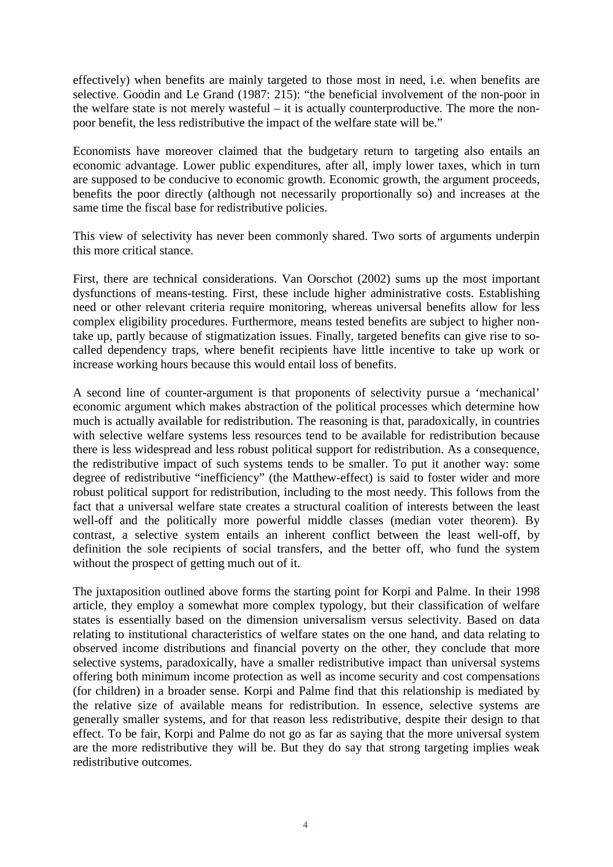effectively) when benefits are mainly targeted to those most in need, i.e. when benefits are selective. Goodin and Le Grand (1987: 215): "the beneficial involvement of the non-poor in the welfare state is not merely wasteful – it is actually counterproductive. The more the nonpoor benefit, the less redistributive the impact of the welfare state will be."

Economists have moreover claimed that the budgetary return to targeting also entails an economic advantage. Lower public expenditures, after all, imply lower taxes, which in turn are supposed to be conducive to economic growth. Economic growth, the argument proceeds, benefits the poor directly (although not necessarily proportionally so) and increases at the same time the fiscal base for redistributive policies.

This view of selectivity has never been commonly shared. Two sorts of arguments underpin this more critical stance.

First, there are technical considerations. Van Oorschot (2002) sums up the most important dysfunctions of means-testing. First, these include higher administrative costs. Establishing need or other relevant criteria require monitoring, whereas universal benefits allow for less complex eligibility procedures. Furthermore, means tested benefits are subject to higher nontake up, partly because of stigmatization issues. Finally, targeted benefits can give rise to socalled dependency traps, where benefit recipients have little incentive to take up work or increase working hours because this would entail loss of benefits.

A second line of counter-argument is that proponents of selectivity pursue a 'mechanical' economic argument which makes abstraction of the political processes which determine how much is actually available for redistribution. The reasoning is that, paradoxically, in countries with selective welfare systems less resources tend to be available for redistribution because there is less widespread and less robust political support for redistribution. As a consequence, the redistributive impact of such systems tends to be smaller. To put it another way: some degree of redistributive "inefficiency" (the Matthew-effect) is said to foster wider and more robust political support for redistribution, including to the most needy. This follows from the fact that a universal welfare state creates a structural coalition of interests between the least well-off and the politically more powerful middle classes (median voter theorem). By contrast, a selective system entails an inherent conflict between the least well-off, by definition the sole recipients of social transfers, and the better off, who fund the system without the prospect of getting much out of it.

The juxtaposition outlined above forms the starting point for Korpi and Palme. In their 1998 article, they employ a somewhat more complex typology, but their classification of welfare states is essentially based on the dimension universalism versus selectivity. Based on data relating to institutional characteristics of welfare states on the one hand, and data relating to observed income distributions and financial poverty on the other, they conclude that more selective systems, paradoxically, have a smaller redistributive impact than universal systems offering both minimum income protection as well as income security and cost compensations (for children) in a broader sense. Korpi and Palme find that this relationship is mediated by the relative size of available means for redistribution. In essence, selective systems are generally smaller systems, and for that reason less redistributive, despite their design to that effect. To be fair, Korpi and Palme do not go as far as saying that the more universal system are the more redistributive they will be. But they do say that strong targeting implies weak redistributive outcomes.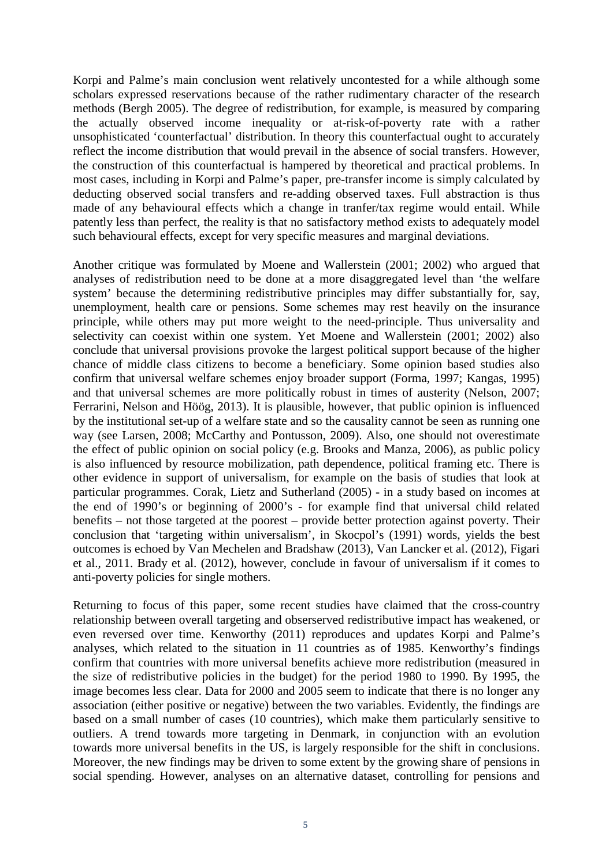Korpi and Palme's main conclusion went relatively uncontested for a while although some scholars expressed reservations because of the rather rudimentary character of the research methods (Bergh 2005). The degree of redistribution, for example, is measured by comparing the actually observed income inequality or at-risk-of-poverty rate with a rather unsophisticated 'counterfactual' distribution. In theory this counterfactual ought to accurately reflect the income distribution that would prevail in the absence of social transfers. However, the construction of this counterfactual is hampered by theoretical and practical problems. In most cases, including in Korpi and Palme's paper, pre-transfer income is simply calculated by deducting observed social transfers and re-adding observed taxes. Full abstraction is thus made of any behavioural effects which a change in tranfer/tax regime would entail. While patently less than perfect, the reality is that no satisfactory method exists to adequately model such behavioural effects, except for very specific measures and marginal deviations.

Another critique was formulated by Moene and Wallerstein (2001; 2002) who argued that analyses of redistribution need to be done at a more disaggregated level than 'the welfare system' because the determining redistributive principles may differ substantially for, say, unemployment, health care or pensions. Some schemes may rest heavily on the insurance principle, while others may put more weight to the need-principle. Thus universality and selectivity can coexist within one system. Yet Moene and Wallerstein (2001; 2002) also conclude that universal provisions provoke the largest political support because of the higher chance of middle class citizens to become a beneficiary. Some opinion based studies also confirm that universal welfare schemes enjoy broader support (Forma, 1997; Kangas, 1995) and that universal schemes are more politically robust in times of austerity (Nelson, 2007; Ferrarini, Nelson and Höög, 2013). It is plausible, however, that public opinion is influenced by the institutional set-up of a welfare state and so the causality cannot be seen as running one way (see Larsen, 2008; McCarthy and Pontusson, 2009). Also, one should not overestimate the effect of public opinion on social policy (e.g. Brooks and Manza, 2006), as public policy is also influenced by resource mobilization, path dependence, political framing etc. There is other evidence in support of universalism, for example on the basis of studies that look at particular programmes. Corak, Lietz and Sutherland (2005) - in a study based on incomes at the end of 1990's or beginning of 2000's - for example find that universal child related benefits – not those targeted at the poorest – provide better protection against poverty. Their conclusion that 'targeting within universalism', in Skocpol's (1991) words, yields the best outcomes is echoed by Van Mechelen and Bradshaw (2013), Van Lancker et al. (2012), Figari et al., 2011. Brady et al. (2012), however, conclude in favour of universalism if it comes to anti-poverty policies for single mothers.

Returning to focus of this paper, some recent studies have claimed that the cross-country relationship between overall targeting and obserserved redistributive impact has weakened, or even reversed over time. Kenworthy (2011) reproduces and updates Korpi and Palme's analyses, which related to the situation in 11 countries as of 1985. Kenworthy's findings confirm that countries with more universal benefits achieve more redistribution (measured in the size of redistributive policies in the budget) for the period 1980 to 1990. By 1995, the image becomes less clear. Data for 2000 and 2005 seem to indicate that there is no longer any association (either positive or negative) between the two variables. Evidently, the findings are based on a small number of cases (10 countries), which make them particularly sensitive to outliers. A trend towards more targeting in Denmark, in conjunction with an evolution towards more universal benefits in the US, is largely responsible for the shift in conclusions. Moreover, the new findings may be driven to some extent by the growing share of pensions in social spending. However, analyses on an alternative dataset, controlling for pensions and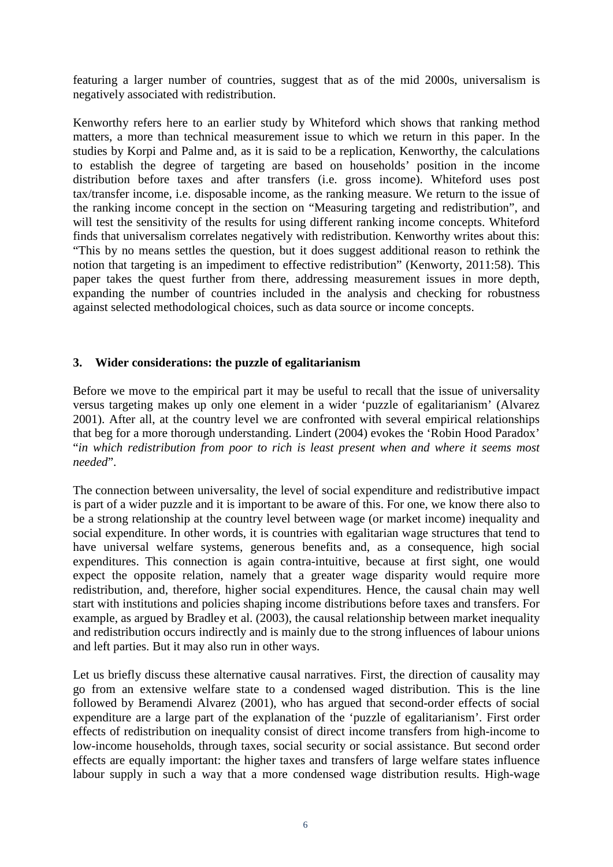featuring a larger number of countries, suggest that as of the mid 2000s, universalism is negatively associated with redistribution.

Kenworthy refers here to an earlier study by Whiteford which shows that ranking method matters, a more than technical measurement issue to which we return in this paper. In the studies by Korpi and Palme and, as it is said to be a replication, Kenworthy, the calculations to establish the degree of targeting are based on households' position in the income distribution before taxes and after transfers (i.e. gross income). Whiteford uses post tax/transfer income, i.e. disposable income, as the ranking measure. We return to the issue of the ranking income concept in the section on "Measuring targeting and redistribution", and will test the sensitivity of the results for using different ranking income concepts. Whiteford finds that universalism correlates negatively with redistribution. Kenworthy writes about this: "This by no means settles the question, but it does suggest additional reason to rethink the notion that targeting is an impediment to effective redistribution" (Kenworty, 2011:58). This paper takes the quest further from there, addressing measurement issues in more depth, expanding the number of countries included in the analysis and checking for robustness against selected methodological choices, such as data source or income concepts.

## **3. Wider considerations: the puzzle of egalitarianism**

Before we move to the empirical part it may be useful to recall that the issue of universality versus targeting makes up only one element in a wider 'puzzle of egalitarianism' (Alvarez 2001). After all, at the country level we are confronted with several empirical relationships that beg for a more thorough understanding. Lindert (2004) evokes the 'Robin Hood Paradox' "*in which redistribution from poor to rich is least present when and where it seems most needed*".

The connection between universality, the level of social expenditure and redistributive impact is part of a wider puzzle and it is important to be aware of this. For one, we know there also to be a strong relationship at the country level between wage (or market income) inequality and social expenditure. In other words, it is countries with egalitarian wage structures that tend to have universal welfare systems, generous benefits and, as a consequence, high social expenditures. This connection is again contra-intuitive, because at first sight, one would expect the opposite relation, namely that a greater wage disparity would require more redistribution, and, therefore, higher social expenditures. Hence, the causal chain may well start with institutions and policies shaping income distributions before taxes and transfers. For example, as argued by Bradley et al. (2003), the causal relationship between market inequality and redistribution occurs indirectly and is mainly due to the strong influences of labour unions and left parties. But it may also run in other ways.

Let us briefly discuss these alternative causal narratives. First, the direction of causality may go from an extensive welfare state to a condensed waged distribution. This is the line followed by Beramendi Alvarez (2001), who has argued that second-order effects of social expenditure are a large part of the explanation of the 'puzzle of egalitarianism'. First order effects of redistribution on inequality consist of direct income transfers from high-income to low-income households, through taxes, social security or social assistance. But second order effects are equally important: the higher taxes and transfers of large welfare states influence labour supply in such a way that a more condensed wage distribution results. High-wage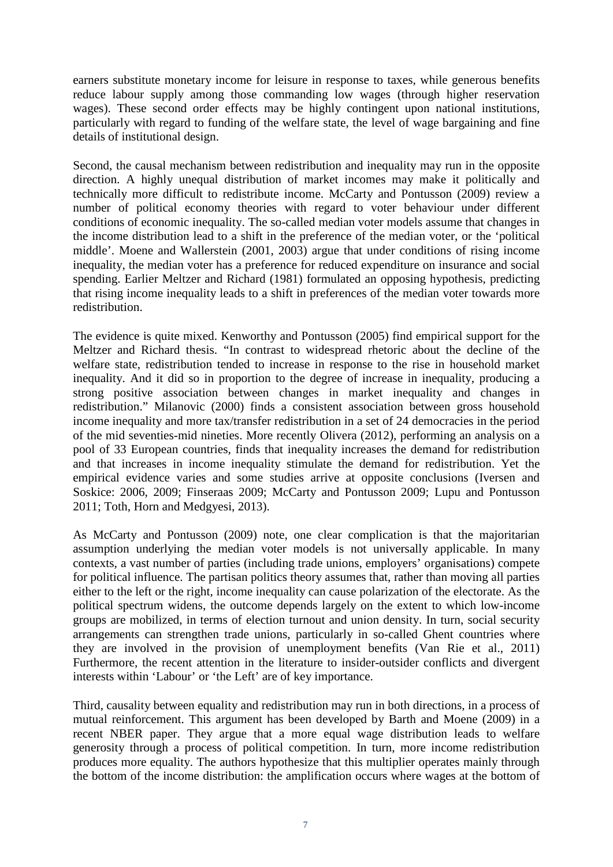earners substitute monetary income for leisure in response to taxes, while generous benefits reduce labour supply among those commanding low wages (through higher reservation wages). These second order effects may be highly contingent upon national institutions, particularly with regard to funding of the welfare state, the level of wage bargaining and fine details of institutional design.

Second, the causal mechanism between redistribution and inequality may run in the opposite direction. A highly unequal distribution of market incomes may make it politically and technically more difficult to redistribute income. McCarty and Pontusson (2009) review a number of political economy theories with regard to voter behaviour under different conditions of economic inequality. The so-called median voter models assume that changes in the income distribution lead to a shift in the preference of the median voter, or the 'political middle'. Moene and Wallerstein (2001, 2003) argue that under conditions of rising income inequality, the median voter has a preference for reduced expenditure on insurance and social spending. Earlier Meltzer and Richard (1981) formulated an opposing hypothesis, predicting that rising income inequality leads to a shift in preferences of the median voter towards more redistribution.

The evidence is quite mixed. Kenworthy and Pontusson (2005) find empirical support for the Meltzer and Richard thesis. "In contrast to widespread rhetoric about the decline of the welfare state, redistribution tended to increase in response to the rise in household market inequality. And it did so in proportion to the degree of increase in inequality, producing a strong positive association between changes in market inequality and changes in redistribution." Milanovic (2000) finds a consistent association between gross household income inequality and more tax/transfer redistribution in a set of 24 democracies in the period of the mid seventies-mid nineties. More recently Olivera (2012), performing an analysis on a pool of 33 European countries, finds that inequality increases the demand for redistribution and that increases in income inequality stimulate the demand for redistribution. Yet the empirical evidence varies and some studies arrive at opposite conclusions (Iversen and Soskice: 2006, 2009; Finseraas 2009; McCarty and Pontusson 2009; Lupu and Pontusson 2011; Toth, Horn and Medgyesi, 2013).

As McCarty and Pontusson (2009) note, one clear complication is that the majoritarian assumption underlying the median voter models is not universally applicable. In many contexts, a vast number of parties (including trade unions, employers' organisations) compete for political influence. The partisan politics theory assumes that, rather than moving all parties either to the left or the right, income inequality can cause polarization of the electorate. As the political spectrum widens, the outcome depends largely on the extent to which low-income groups are mobilized, in terms of election turnout and union density. In turn, social security arrangements can strengthen trade unions, particularly in so-called Ghent countries where they are involved in the provision of unemployment benefits (Van Rie et al., 2011) Furthermore, the recent attention in the literature to insider-outsider conflicts and divergent interests within 'Labour' or 'the Left' are of key importance.

Third, causality between equality and redistribution may run in both directions, in a process of mutual reinforcement. This argument has been developed by Barth and Moene (2009) in a recent NBER paper. They argue that a more equal wage distribution leads to welfare generosity through a process of political competition. In turn, more income redistribution produces more equality. The authors hypothesize that this multiplier operates mainly through the bottom of the income distribution: the amplification occurs where wages at the bottom of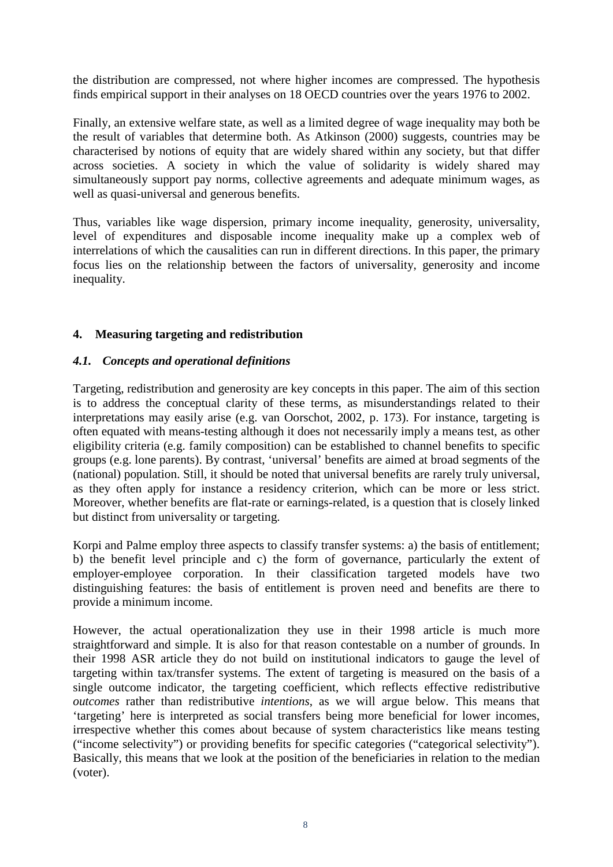the distribution are compressed, not where higher incomes are compressed. The hypothesis finds empirical support in their analyses on 18 OECD countries over the years 1976 to 2002.

Finally, an extensive welfare state, as well as a limited degree of wage inequality may both be the result of variables that determine both. As Atkinson (2000) suggests, countries may be characterised by notions of equity that are widely shared within any society, but that differ across societies. A society in which the value of solidarity is widely shared may simultaneously support pay norms, collective agreements and adequate minimum wages, as well as quasi-universal and generous benefits.

Thus, variables like wage dispersion, primary income inequality, generosity, universality, level of expenditures and disposable income inequality make up a complex web of interrelations of which the causalities can run in different directions. In this paper, the primary focus lies on the relationship between the factors of universality, generosity and income inequality.

## **4. Measuring targeting and redistribution**

## *4.1. Concepts and operational definitions*

Targeting, redistribution and generosity are key concepts in this paper. The aim of this section is to address the conceptual clarity of these terms, as misunderstandings related to their interpretations may easily arise (e.g. van Oorschot, 2002, p. 173). For instance, targeting is often equated with means-testing although it does not necessarily imply a means test, as other eligibility criteria (e.g. family composition) can be established to channel benefits to specific groups (e.g. lone parents). By contrast, 'universal' benefits are aimed at broad segments of the (national) population. Still, it should be noted that universal benefits are rarely truly universal, as they often apply for instance a residency criterion, which can be more or less strict. Moreover, whether benefits are flat-rate or earnings-related, is a question that is closely linked but distinct from universality or targeting.

Korpi and Palme employ three aspects to classify transfer systems: a) the basis of entitlement; b) the benefit level principle and c) the form of governance, particularly the extent of employer-employee corporation. In their classification targeted models have two distinguishing features: the basis of entitlement is proven need and benefits are there to provide a minimum income.

However, the actual operationalization they use in their 1998 article is much more straightforward and simple. It is also for that reason contestable on a number of grounds. In their 1998 ASR article they do not build on institutional indicators to gauge the level of targeting within tax/transfer systems. The extent of targeting is measured on the basis of a single outcome indicator, the targeting coefficient, which reflects effective redistributive *outcomes* rather than redistributive *intentions*, as we will argue below. This means that 'targeting' here is interpreted as social transfers being more beneficial for lower incomes, irrespective whether this comes about because of system characteristics like means testing ("income selectivity") or providing benefits for specific categories ("categorical selectivity"). Basically, this means that we look at the position of the beneficiaries in relation to the median (voter).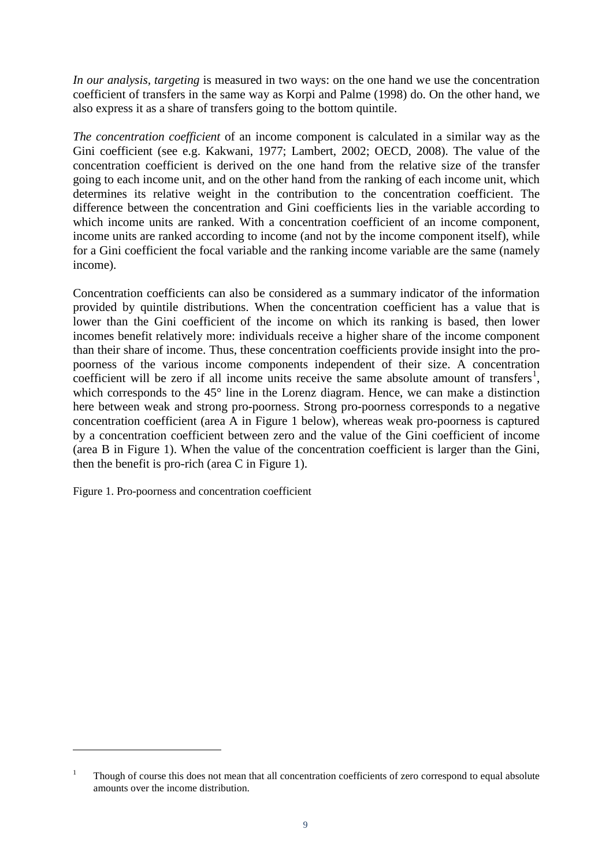*In our analysis, targeting* is measured in two ways: on the one hand we use the concentration coefficient of transfers in the same way as Korpi and Palme (1998) do. On the other hand, we also express it as a share of transfers going to the bottom quintile.

*The concentration coefficient* of an income component is calculated in a similar way as the Gini coefficient (see e.g. Kakwani, 1977; Lambert, 2002; OECD, 2008). The value of the concentration coefficient is derived on the one hand from the relative size of the transfer going to each income unit, and on the other hand from the ranking of each income unit, which determines its relative weight in the contribution to the concentration coefficient. The difference between the concentration and Gini coefficients lies in the variable according to which income units are ranked. With a concentration coefficient of an income component, income units are ranked according to income (and not by the income component itself), while for a Gini coefficient the focal variable and the ranking income variable are the same (namely income).

Concentration coefficients can also be considered as a summary indicator of the information provided by quintile distributions. When the concentration coefficient has a value that is lower than the Gini coefficient of the income on which its ranking is based, then lower incomes benefit relatively more: individuals receive a higher share of the income component than their share of income. Thus, these concentration coefficients provide insight into the propoorness of the various income components independent of their size. A concentration coefficient will be zero if all income units receive the same absolute amount of transfers<sup>[1](#page-3-0)</sup>, which corresponds to the 45° line in the Lorenz diagram. Hence, we can make a distinction here between weak and strong pro-poorness. Strong pro-poorness corresponds to a negative concentration coefficient (area A in Figure 1 below), whereas weak pro-poorness is captured by a concentration coefficient between zero and the value of the Gini coefficient of income (area B in Figure 1). When the value of the concentration coefficient is larger than the Gini, then the benefit is pro-rich (area C in Figure 1).

Figure 1. Pro-poorness and concentration coefficient

-

<span id="page-9-0"></span><sup>1</sup> Though of course this does not mean that all concentration coefficients of zero correspond to equal absolute amounts over the income distribution.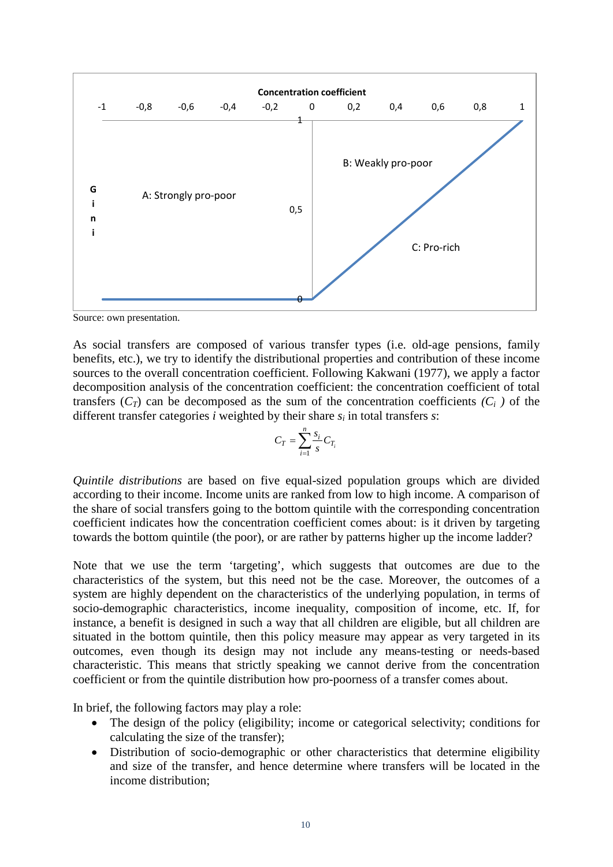

Source: own presentation.

As social transfers are composed of various transfer types (i.e. old-age pensions, family benefits, etc.), we try to identify the distributional properties and contribution of these income sources to the overall concentration coefficient. Following Kakwani (1977), we apply a factor decomposition analysis of the concentration coefficient: the concentration coefficient of total transfers  $(C_T)$  can be decomposed as the sum of the concentration coefficients  $(C_i)$  of the different transfer categories *i* weighted by their share *si* in total transfers *s*:

$$
C_T = \sum_{i=1}^n \frac{s_i}{s} C_{T_i}
$$

*Quintile distributions* are based on five equal-sized population groups which are divided according to their income. Income units are ranked from low to high income. A comparison of the share of social transfers going to the bottom quintile with the corresponding concentration coefficient indicates how the concentration coefficient comes about: is it driven by targeting towards the bottom quintile (the poor), or are rather by patterns higher up the income ladder?

Note that we use the term 'targeting', which suggests that outcomes are due to the characteristics of the system, but this need not be the case. Moreover, the outcomes of a system are highly dependent on the characteristics of the underlying population, in terms of socio-demographic characteristics, income inequality, composition of income, etc. If, for instance, a benefit is designed in such a way that all children are eligible, but all children are situated in the bottom quintile, then this policy measure may appear as very targeted in its outcomes, even though its design may not include any means-testing or needs-based characteristic. This means that strictly speaking we cannot derive from the concentration coefficient or from the quintile distribution how pro-poorness of a transfer comes about.

In brief, the following factors may play a role:

- The design of the policy (eligibility; income or categorical selectivity; conditions for calculating the size of the transfer);
- Distribution of socio-demographic or other characteristics that determine eligibility and size of the transfer, and hence determine where transfers will be located in the income distribution;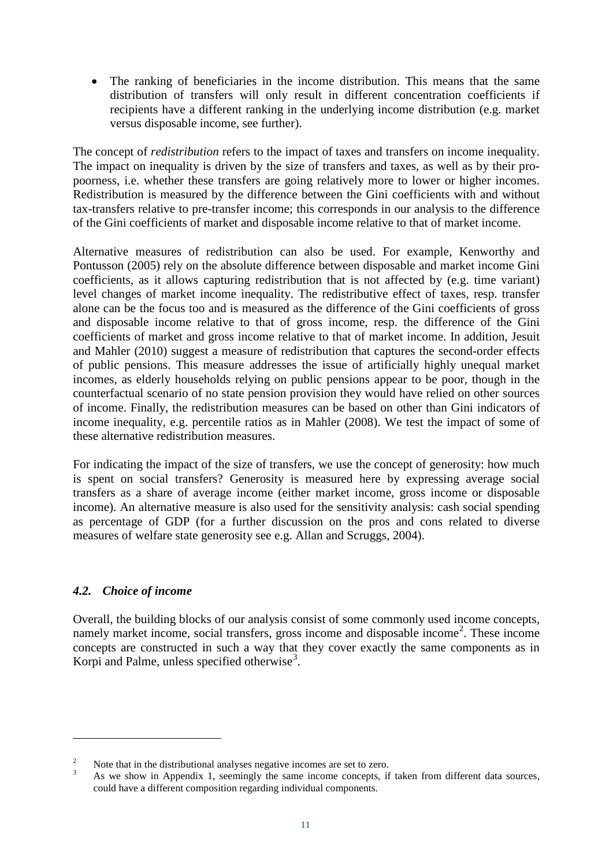The ranking of beneficiaries in the income distribution. This means that the same distribution of transfers will only result in different concentration coefficients if recipients have a different ranking in the underlying income distribution (e.g. market versus disposable income, see further).

The concept of *redistribution* refers to the impact of taxes and transfers on income inequality. The impact on inequality is driven by the size of transfers and taxes, as well as by their propoorness, i.e. whether these transfers are going relatively more to lower or higher incomes. Redistribution is measured by the difference between the Gini coefficients with and without tax-transfers relative to pre-transfer income; this corresponds in our analysis to the difference of the Gini coefficients of market and disposable income relative to that of market income.

Alternative measures of redistribution can also be used. For example, Kenworthy and Pontusson (2005) rely on the absolute difference between disposable and market income Gini coefficients, as it allows capturing redistribution that is not affected by (e.g. time variant) level changes of market income inequality. The redistributive effect of taxes, resp. transfer alone can be the focus too and is measured as the difference of the Gini coefficients of gross and disposable income relative to that of gross income, resp. the difference of the Gini coefficients of market and gross income relative to that of market income. In addition, Jesuit and Mahler (2010) suggest a measure of redistribution that captures the second-order effects of public pensions. This measure addresses the issue of artificially highly unequal market incomes, as elderly households relying on public pensions appear to be poor, though in the counterfactual scenario of no state pension provision they would have relied on other sources of income. Finally, the redistribution measures can be based on other than Gini indicators of income inequality, e.g. percentile ratios as in Mahler (2008). We test the impact of some of these alternative redistribution measures.

For indicating the impact of the size of transfers, we use the concept of generosity: how much is spent on social transfers? Generosity is measured here by expressing average social transfers as a share of average income (either market income, gross income or disposable income). An alternative measure is also used for the sensitivity analysis: cash social spending as percentage of GDP (for a further discussion on the pros and cons related to diverse measures of welfare state generosity see e.g. Allan and Scruggs, 2004).

## *4.2. Choice of income*

<span id="page-11-1"></span>-

Overall, the building blocks of our analysis consist of some commonly used income concepts, namely market income, social transfers, gross income and disposable income<sup>[2](#page-9-0)</sup>. These income concepts are constructed in such a way that they cover exactly the same components as in Korpi and Palme, unless specified otherwise<sup>[3](#page-11-0)</sup>.

<span id="page-11-0"></span><sup>&</sup>lt;sup>2</sup> Note that in the distributional analyses negative incomes are set to zero.<br><sup>3</sup> As we show in Appendix 1, seemingly the same income concepts, if taken from different data sources, could have a different composition regarding individual components.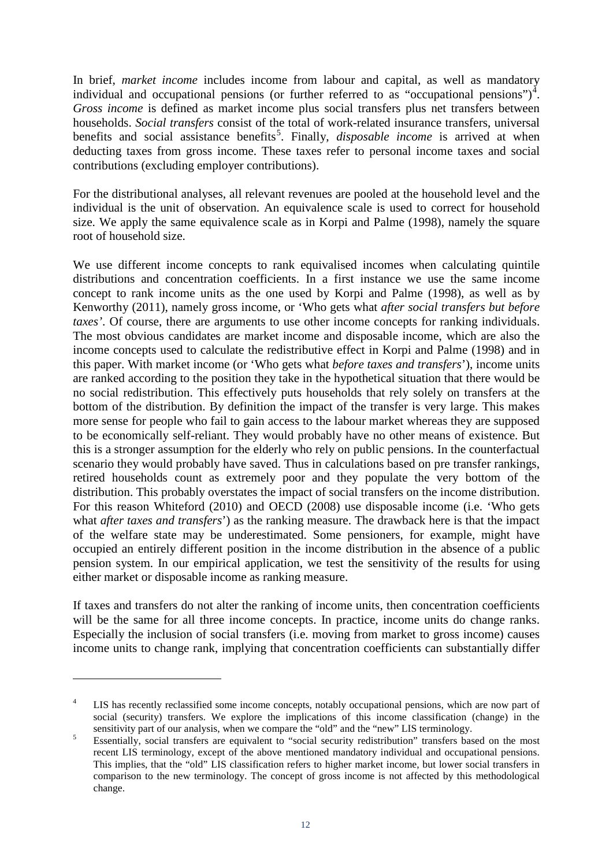In brief, *market income* includes income from labour and capital, as well as mandatory individual and occupational pensions (or further referred to as "occupational pensions")<sup>[4](#page-11-1)</sup>. *Gross income* is defined as market income plus social transfers plus net transfers between households. *Social transfers* consist of the total of work-related insurance transfers, universal benefits and social assistance benefits<sup>[5](#page-12-0)</sup>. Finally, *disposable income* is arrived at when deducting taxes from gross income. These taxes refer to personal income taxes and social contributions (excluding employer contributions).

For the distributional analyses, all relevant revenues are pooled at the household level and the individual is the unit of observation. An equivalence scale is used to correct for household size. We apply the same equivalence scale as in Korpi and Palme (1998), namely the square root of household size.

We use different income concepts to rank equivalised incomes when calculating quintile distributions and concentration coefficients. In a first instance we use the same income concept to rank income units as the one used by Korpi and Palme (1998), as well as by Kenworthy (2011), namely gross income, or 'Who gets what *after social transfers but before taxes'*. Of course, there are arguments to use other income concepts for ranking individuals. The most obvious candidates are market income and disposable income, which are also the income concepts used to calculate the redistributive effect in Korpi and Palme (1998) and in this paper. With market income (or 'Who gets what *before taxes and transfers*'), income units are ranked according to the position they take in the hypothetical situation that there would be no social redistribution. This effectively puts households that rely solely on transfers at the bottom of the distribution. By definition the impact of the transfer is very large. This makes more sense for people who fail to gain access to the labour market whereas they are supposed to be economically self-reliant. They would probably have no other means of existence. But this is a stronger assumption for the elderly who rely on public pensions. In the counterfactual scenario they would probably have saved. Thus in calculations based on pre transfer rankings, retired households count as extremely poor and they populate the very bottom of the distribution. This probably overstates the impact of social transfers on the income distribution. For this reason Whiteford (2010) and OECD (2008) use disposable income (i.e. 'Who gets what *after taxes and transfers*') as the ranking measure. The drawback here is that the impact of the welfare state may be underestimated. Some pensioners, for example, might have occupied an entirely different position in the income distribution in the absence of a public pension system. In our empirical application, we test the sensitivity of the results for using either market or disposable income as ranking measure.

If taxes and transfers do not alter the ranking of income units, then concentration coefficients will be the same for all three income concepts. In practice, income units do change ranks. Especially the inclusion of social transfers (i.e. moving from market to gross income) causes income units to change rank, implying that concentration coefficients can substantially differ

-

LIS has recently reclassified some income concepts, notably occupational pensions, which are now part of social (security) transfers. We explore the implications of this income classification (change) in the sensitivity part of our analysis, when we compare the "old" and the "new" LIS terminology.

<span id="page-12-1"></span><span id="page-12-0"></span>Essentially, social transfers are equivalent to "social security redistribution" transfers based on the most recent LIS terminology, except of the above mentioned mandatory individual and occupational pensions. This implies, that the "old" LIS classification refers to higher market income, but lower social transfers in comparison to the new terminology. The concept of gross income is not affected by this methodological change.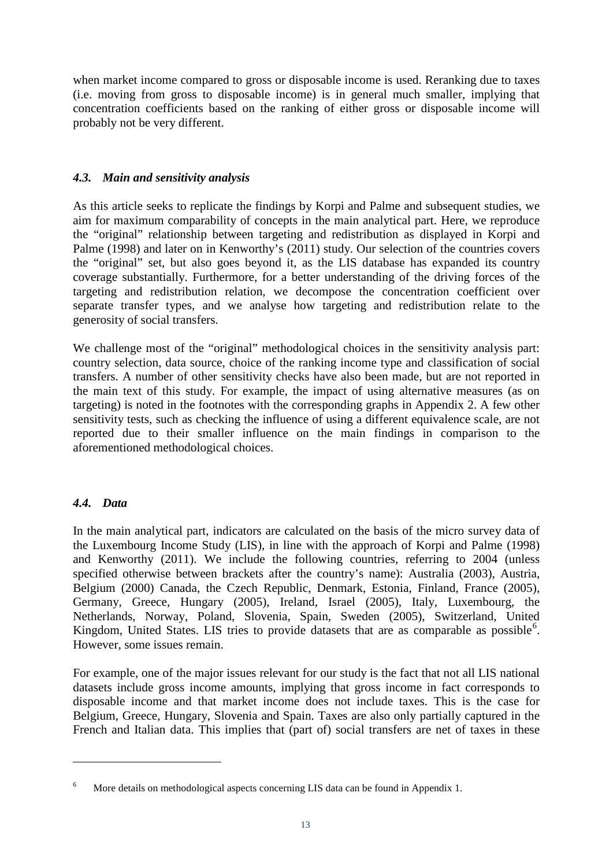when market income compared to gross or disposable income is used. Reranking due to taxes (i.e. moving from gross to disposable income) is in general much smaller, implying that concentration coefficients based on the ranking of either gross or disposable income will probably not be very different.

## *4.3. Main and sensitivity analysis*

As this article seeks to replicate the findings by Korpi and Palme and subsequent studies, we aim for maximum comparability of concepts in the main analytical part. Here, we reproduce the "original" relationship between targeting and redistribution as displayed in Korpi and Palme (1998) and later on in Kenworthy's (2011) study. Our selection of the countries covers the "original" set, but also goes beyond it, as the LIS database has expanded its country coverage substantially. Furthermore, for a better understanding of the driving forces of the targeting and redistribution relation, we decompose the concentration coefficient over separate transfer types, and we analyse how targeting and redistribution relate to the generosity of social transfers.

We challenge most of the "original" methodological choices in the sensitivity analysis part: country selection, data source, choice of the ranking income type and classification of social transfers. A number of other sensitivity checks have also been made, but are not reported in the main text of this study. For example, the impact of using alternative measures (as on targeting) is noted in the footnotes with the corresponding graphs in Appendix 2. A few other sensitivity tests, such as checking the influence of using a different equivalence scale, are not reported due to their smaller influence on the main findings in comparison to the aforementioned methodological choices.

## *4.4. Data*

-

In the main analytical part, indicators are calculated on the basis of the micro survey data of the Luxembourg Income Study (LIS), in line with the approach of Korpi and Palme (1998) and Kenworthy (2011). We include the following countries, referring to 2004 (unless specified otherwise between brackets after the country's name): Australia (2003), Austria, Belgium (2000) Canada, the Czech Republic, Denmark, Estonia, Finland, France (2005), Germany, Greece, Hungary (2005), Ireland, Israel (2005), Italy, Luxembourg, the Netherlands, Norway, Poland, Slovenia, Spain, Sweden (2005), Switzerland, United Kingdom, United States. LIS tries to provide datasets that are as comparable as possible<sup>[6](#page-12-1)</sup>. However, some issues remain.

For example, one of the major issues relevant for our study is the fact that not all LIS national datasets include gross income amounts, implying that gross income in fact corresponds to disposable income and that market income does not include taxes. This is the case for Belgium, Greece, Hungary, Slovenia and Spain. Taxes are also only partially captured in the French and Italian data. This implies that (part of) social transfers are net of taxes in these

<span id="page-13-0"></span><sup>6</sup> More details on methodological aspects concerning LIS data can be found in Appendix 1.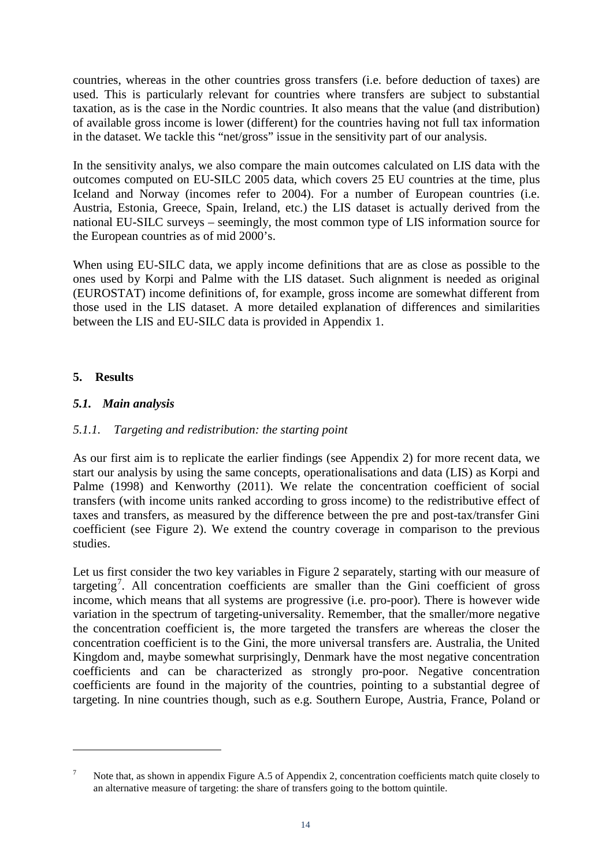countries, whereas in the other countries gross transfers (i.e. before deduction of taxes) are used. This is particularly relevant for countries where transfers are subject to substantial taxation, as is the case in the Nordic countries. It also means that the value (and distribution) of available gross income is lower (different) for the countries having not full tax information in the dataset. We tackle this "net/gross" issue in the sensitivity part of our analysis.

In the sensitivity analys, we also compare the main outcomes calculated on LIS data with the outcomes computed on EU-SILC 2005 data, which covers 25 EU countries at the time, plus Iceland and Norway (incomes refer to 2004). For a number of European countries (i.e. Austria, Estonia, Greece, Spain, Ireland, etc.) the LIS dataset is actually derived from the national EU-SILC surveys – seemingly, the most common type of LIS information source for the European countries as of mid 2000's.

When using EU-SILC data, we apply income definitions that are as close as possible to the ones used by Korpi and Palme with the LIS dataset. Such alignment is needed as original (EUROSTAT) income definitions of, for example, gross income are somewhat different from those used in the LIS dataset. A more detailed explanation of differences and similarities between the LIS and EU-SILC data is provided in Appendix 1.

## **5. Results**

-

## *5.1. Main analysis*

## *5.1.1. Targeting and redistribution: the starting point*

As our first aim is to replicate the earlier findings (see Appendix 2) for more recent data, we start our analysis by using the same concepts, operationalisations and data (LIS) as Korpi and Palme (1998) and Kenworthy (2011). We relate the concentration coefficient of social transfers (with income units ranked according to gross income) to the redistributive effect of taxes and transfers, as measured by the difference between the pre and post-tax/transfer Gini coefficient (see Figure 2). We extend the country coverage in comparison to the previous studies.

Let us first consider the two key variables in Figure 2 separately, starting with our measure of targeting<sup>[7](#page-13-0)</sup>. All concentration coefficients are smaller than the Gini coefficient of gross income, which means that all systems are progressive (i.e. pro-poor). There is however wide variation in the spectrum of targeting-universality. Remember, that the smaller/more negative the concentration coefficient is, the more targeted the transfers are whereas the closer the concentration coefficient is to the Gini, the more universal transfers are. Australia, the United Kingdom and, maybe somewhat surprisingly, Denmark have the most negative concentration coefficients and can be characterized as strongly pro-poor. Negative concentration coefficients are found in the majority of the countries, pointing to a substantial degree of targeting. In nine countries though, such as e.g. Southern Europe, Austria, France, Poland or

<span id="page-14-0"></span><sup>7</sup> Note that, as shown in appendix Figure A.5 of Appendix 2, concentration coefficients match quite closely to an alternative measure of targeting: the share of transfers going to the bottom quintile.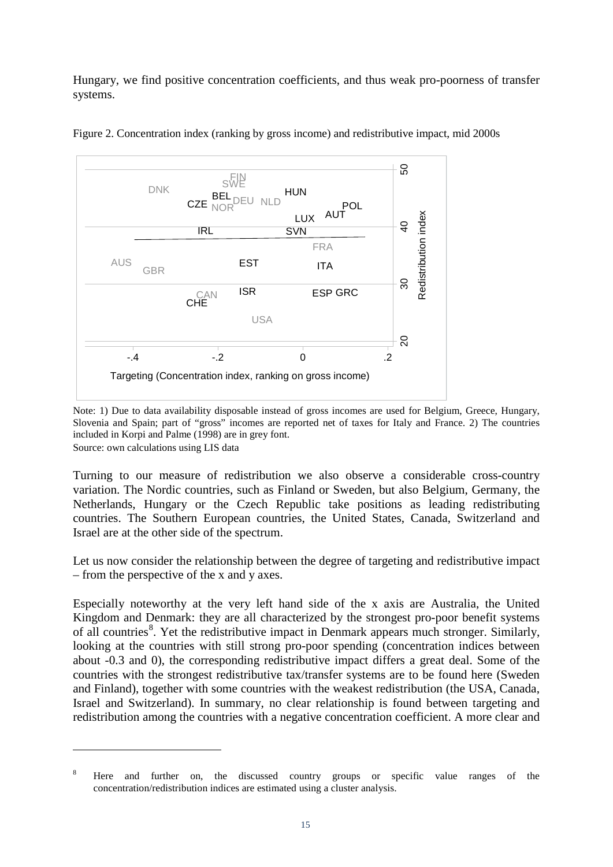Hungary, we find positive concentration coefficients, and thus weak pro-poorness of transfer systems.





Note: 1) Due to data availability disposable instead of gross incomes are used for Belgium, Greece, Hungary, Slovenia and Spain; part of "gross" incomes are reported net of taxes for Italy and France. 2) The countries included in Korpi and Palme (1998) are in grey font. Source: own calculations using LIS data

Turning to our measure of redistribution we also observe a considerable cross-country variation. The Nordic countries, such as Finland or Sweden, but also Belgium, Germany, the Netherlands, Hungary or the Czech Republic take positions as leading redistributing countries. The Southern European countries, the United States, Canada, Switzerland and Israel are at the other side of the spectrum.

Let us now consider the relationship between the degree of targeting and redistributive impact – from the perspective of the x and y axes.

Especially noteworthy at the very left hand side of the x axis are Australia, the United Kingdom and Denmark: they are all characterized by the strongest pro-poor benefit systems of all countries<sup>[8](#page-14-0)</sup>. Yet the redistributive impact in Denmark appears much stronger. Similarly, looking at the countries with still strong pro-poor spending (concentration indices between about -0.3 and 0), the corresponding redistributive impact differs a great deal. Some of the countries with the strongest redistributive tax/transfer systems are to be found here (Sweden and Finland), together with some countries with the weakest redistribution (the USA, Canada, Israel and Switzerland). In summary, no clear relationship is found between targeting and redistribution among the countries with a negative concentration coefficient. A more clear and

-

<span id="page-15-0"></span><sup>&</sup>lt;sup>8</sup> Here and further on, the discussed country groups or specific value ranges of the concentration/redistribution indices are estimated using a cluster analysis.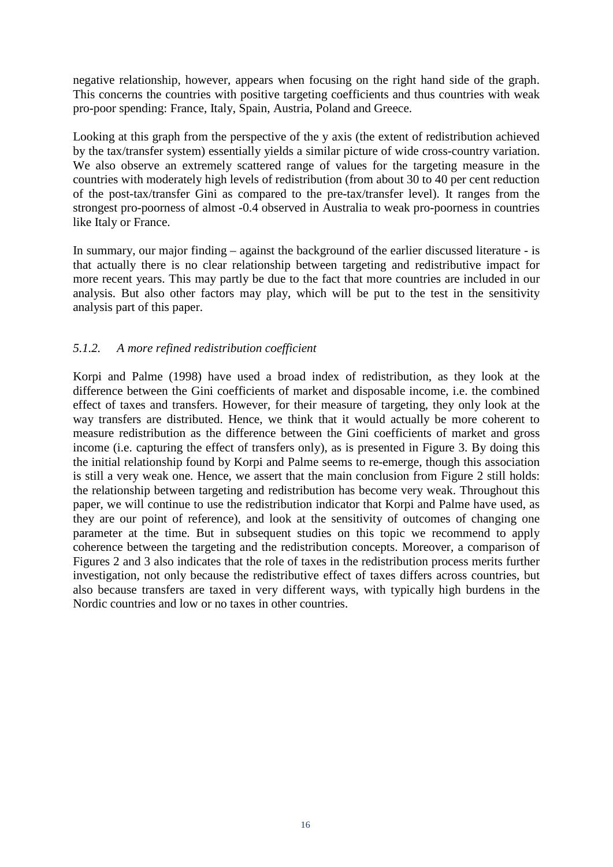negative relationship, however, appears when focusing on the right hand side of the graph. This concerns the countries with positive targeting coefficients and thus countries with weak pro-poor spending: France, Italy, Spain, Austria, Poland and Greece.

Looking at this graph from the perspective of the y axis (the extent of redistribution achieved by the tax/transfer system) essentially yields a similar picture of wide cross-country variation. We also observe an extremely scattered range of values for the targeting measure in the countries with moderately high levels of redistribution (from about 30 to 40 per cent reduction of the post-tax/transfer Gini as compared to the pre-tax/transfer level). It ranges from the strongest pro-poorness of almost -0.4 observed in Australia to weak pro-poorness in countries like Italy or France.

In summary, our major finding – against the background of the earlier discussed literature - is that actually there is no clear relationship between targeting and redistributive impact for more recent years. This may partly be due to the fact that more countries are included in our analysis. But also other factors may play, which will be put to the test in the sensitivity analysis part of this paper.

## *5.1.2. A more refined redistribution coefficient*

Korpi and Palme (1998) have used a broad index of redistribution, as they look at the difference between the Gini coefficients of market and disposable income, i.e. the combined effect of taxes and transfers. However, for their measure of targeting, they only look at the way transfers are distributed. Hence, we think that it would actually be more coherent to measure redistribution as the difference between the Gini coefficients of market and gross income (i.e. capturing the effect of transfers only), as is presented in Figure 3. By doing this the initial relationship found by Korpi and Palme seems to re-emerge, though this association is still a very weak one. Hence, we assert that the main conclusion from Figure 2 still holds: the relationship between targeting and redistribution has become very weak. Throughout this paper, we will continue to use the redistribution indicator that Korpi and Palme have used, as they are our point of reference), and look at the sensitivity of outcomes of changing one parameter at the time. But in subsequent studies on this topic we recommend to apply coherence between the targeting and the redistribution concepts. Moreover, a comparison of Figures 2 and 3 also indicates that the role of taxes in the redistribution process merits further investigation, not only because the redistributive effect of taxes differs across countries, but also because transfers are taxed in very different ways, with typically high burdens in the Nordic countries and low or no taxes in other countries.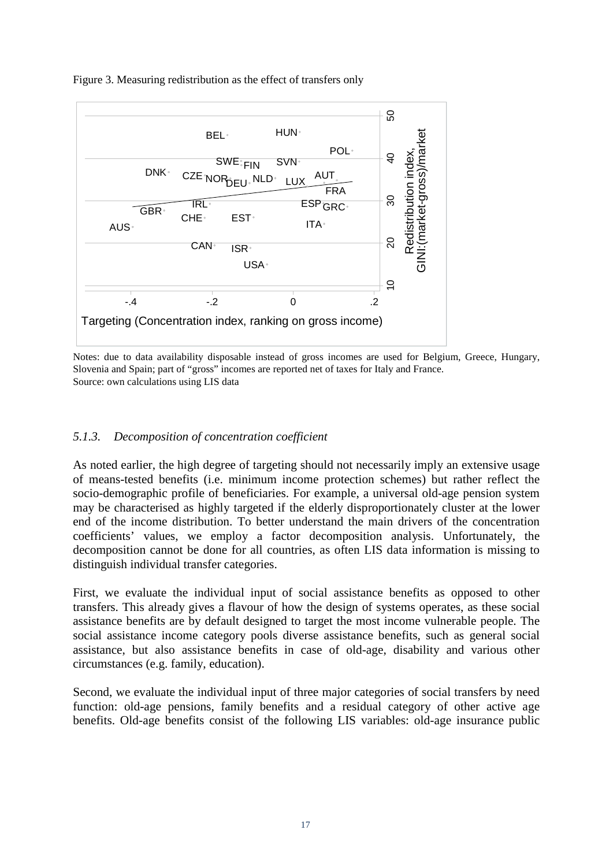

Figure 3. Measuring redistribution as the effect of transfers only

Notes: due to data availability disposable instead of gross incomes are used for Belgium, Greece, Hungary, Slovenia and Spain; part of "gross" incomes are reported net of taxes for Italy and France. Source: own calculations using LIS data

## *5.1.3. Decomposition of concentration coefficient*

As noted earlier, the high degree of targeting should not necessarily imply an extensive usage of means-tested benefits (i.e. minimum income protection schemes) but rather reflect the socio-demographic profile of beneficiaries. For example, a universal old-age pension system may be characterised as highly targeted if the elderly disproportionately cluster at the lower end of the income distribution. To better understand the main drivers of the concentration coefficients' values, we employ a factor decomposition analysis. Unfortunately, the decomposition cannot be done for all countries, as often LIS data information is missing to distinguish individual transfer categories.

First, we evaluate the individual input of social assistance benefits as opposed to other transfers. This already gives a flavour of how the design of systems operates, as these social assistance benefits are by default designed to target the most income vulnerable people. The social assistance income category pools diverse assistance benefits, such as general social assistance, but also assistance benefits in case of old-age, disability and various other circumstances (e.g. family, education).

Second, we evaluate the individual input of three major categories of social transfers by need function: old-age pensions, family benefits and a residual category of other active age benefits. Old-age benefits consist of the following LIS variables: old-age insurance public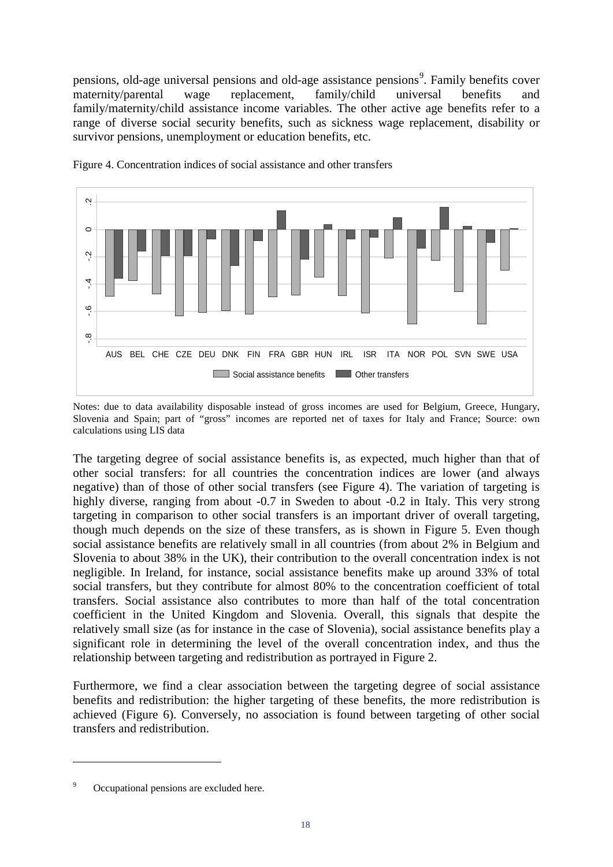pensions, old-age universal pensions and old-age assistance pensions<sup>[9](#page-15-0)</sup>. Family benefits cover maternity/parental wage replacement, family/child universal benefits and family/maternity/child assistance income variables. The other active age benefits refer to a range of diverse social security benefits, such as sickness wage replacement, disability or survivor pensions, unemployment or education benefits, etc.



Figure 4. Concentration indices of social assistance and other transfers

Notes: due to data availability disposable instead of gross incomes are used for Belgium, Greece, Hungary, Slovenia and Spain; part of "gross" incomes are reported net of taxes for Italy and France; Source: own calculations using LIS data

The targeting degree of social assistance benefits is, as expected, much higher than that of other social transfers: for all countries the concentration indices are lower (and always negative) than of those of other social transfers (see Figure 4). The variation of targeting is highly diverse, ranging from about -0.7 in Sweden to about -0.2 in Italy. This very strong targeting in comparison to other social transfers is an important driver of overall targeting, though much depends on the size of these transfers, as is shown in Figure 5. Even though social assistance benefits are relatively small in all countries (from about 2% in Belgium and Slovenia to about 38% in the UK), their contribution to the overall concentration index is not negligible. In Ireland, for instance, social assistance benefits make up around 33% of total social transfers, but they contribute for almost 80% to the concentration coefficient of total transfers. Social assistance also contributes to more than half of the total concentration coefficient in the United Kingdom and Slovenia. Overall, this signals that despite the relatively small size (as for instance in the case of Slovenia), social assistance benefits play a significant role in determining the level of the overall concentration index, and thus the relationship between targeting and redistribution as portrayed in Figure 2. 9 Occupational pensions are excluded here.<br>
9 Occupations and Spain; part of "gross" incomendations using LIS data<br>
19 Social as Spain; part of "gross" incomendations using LIS data<br>
19 The targeting degree of social assis

Furthermore, we find a clear association between the targeting degree of social assistance benefits and redistribution: the higher targeting of these benefits, the more redistribution is achieved (Figure 6). Conversely, no association is found between targeting of other social transfers and redistribution.

<span id="page-18-0"></span>-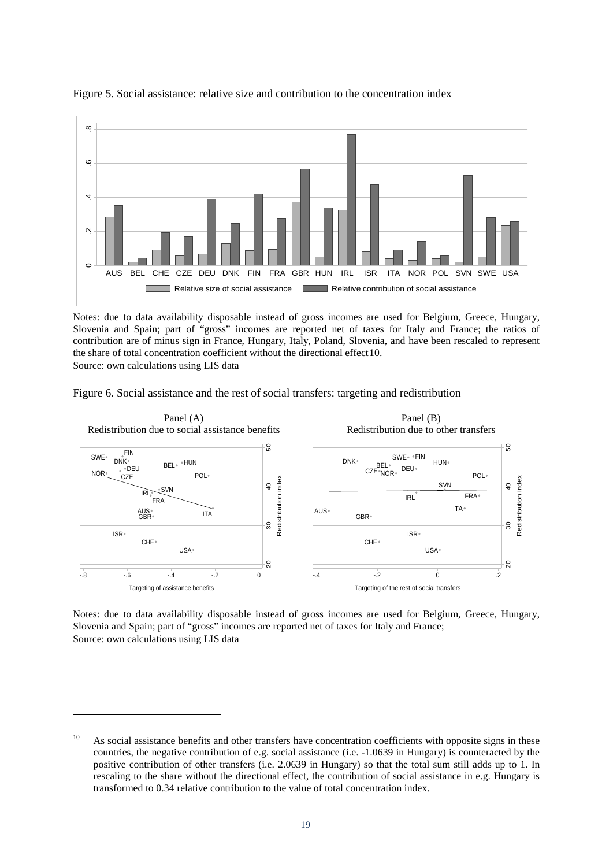



Notes: due to data availability disposable instead of gross incomes are used for Belgium, Greece, Hungary, Slovenia and Spain; part of "gross" incomes are reported net of taxes for Italy and France; the ratios of contribution are of minus sign in France, Hungary, Italy, Poland, Slovenia, and have been rescaled to represent the share of total concentration coefficient without the directional effect[10.](#page-18-0)

Source: own calculations using LIS data

-





Notes: due to data availability disposable instead of gross incomes are used for Belgium, Greece, Hungary, Slovenia and Spain; part of "gross" incomes are reported net of taxes for Italy and France; Source: own calculations using LIS data

<span id="page-19-0"></span> $10$  As social assistance benefits and other transfers have concentration coefficients with opposite signs in these countries, the negative contribution of e.g. social assistance (i.e. -1.0639 in Hungary) is counteracted by the positive contribution of other transfers (i.e. 2.0639 in Hungary) so that the total sum still adds up to 1. In rescaling to the share without the directional effect, the contribution of social assistance in e.g. Hungary is transformed to 0.34 relative contribution to the value of total concentration index.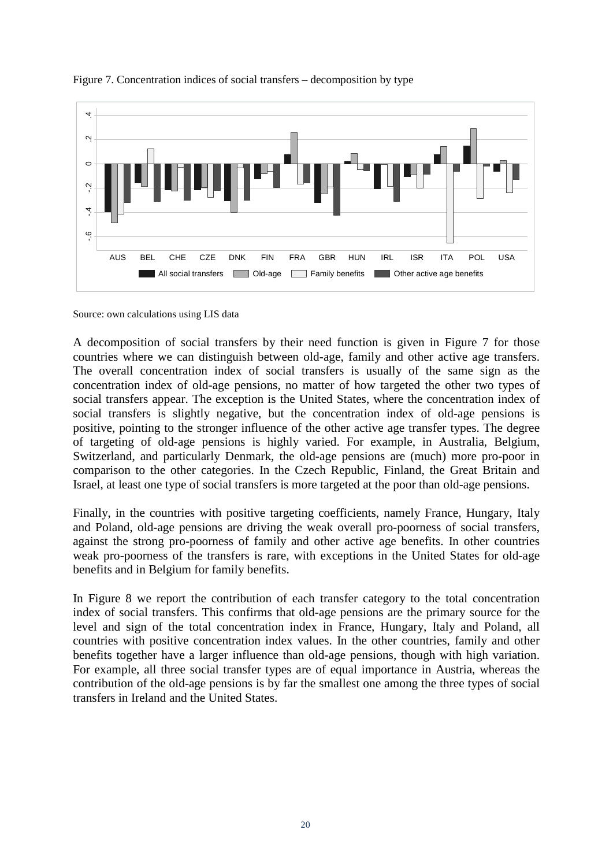![](_page_20_Figure_0.jpeg)

#### Figure 7. Concentration indices of social transfers – decomposition by type

Source: own calculations using LIS data

A decomposition of social transfers by their need function is given in Figure 7 for those countries where we can distinguish between old-age, family and other active age transfers. The overall concentration index of social transfers is usually of the same sign as the concentration index of old-age pensions, no matter of how targeted the other two types of social transfers appear. The exception is the United States, where the concentration index of social transfers is slightly negative, but the concentration index of old-age pensions is positive, pointing to the stronger influence of the other active age transfer types. The degree of targeting of old-age pensions is highly varied. For example, in Australia, Belgium, Switzerland, and particularly Denmark, the old-age pensions are (much) more pro-poor in comparison to the other categories. In the Czech Republic, Finland, the Great Britain and Israel, at least one type of social transfers is more targeted at the poor than old-age pensions.

Finally, in the countries with positive targeting coefficients, namely France, Hungary, Italy and Poland, old-age pensions are driving the weak overall pro-poorness of social transfers, against the strong pro-poorness of family and other active age benefits. In other countries weak pro-poorness of the transfers is rare, with exceptions in the United States for old-age benefits and in Belgium for family benefits.

In Figure 8 we report the contribution of each transfer category to the total concentration index of social transfers. This confirms that old-age pensions are the primary source for the level and sign of the total concentration index in France, Hungary, Italy and Poland, all countries with positive concentration index values. In the other countries, family and other benefits together have a larger influence than old-age pensions, though with high variation. For example, all three social transfer types are of equal importance in Austria, whereas the contribution of the old-age pensions is by far the smallest one among the three types of social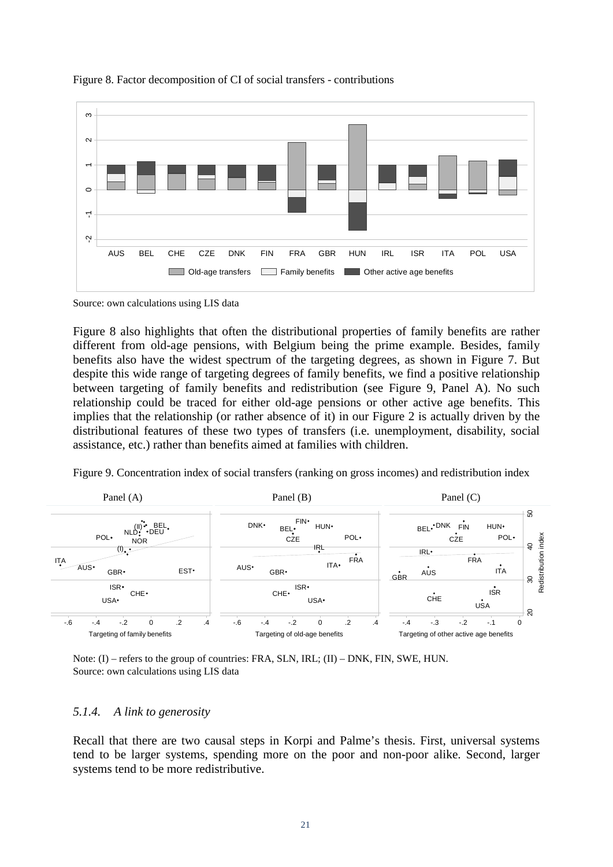![](_page_21_Figure_0.jpeg)

## Figure 8. Factor decomposition of CI of social transfers - contributions

![](_page_21_Figure_2.jpeg)

Figure 8 also highlights that often the distributional properties of family benefits are rather different from old-age pensions, with Belgium being the prime example. Besides, family benefits also have the widest spectrum of the targeting degrees, as shown in Figure 7. But despite this wide range of targeting degrees of family benefits, we find a positive relationship between targeting of family benefits and redistribution (see Figure 9, Panel A). No such relationship could be traced for either old-age pensions or other active age benefits. This implies that the relationship (or rather absence of it) in our Figure 2 is actually driven by the distributional features of these two types of transfers (i.e. unemployment, disability, social assistance, etc.) rather than benefits aimed at families with children.

Figure 9. Concentration index of social transfers (ranking on gross incomes) and redistribution index

![](_page_21_Figure_5.jpeg)

Note: (I) – refers to the group of countries: FRA, SLN, IRL; (II) – DNK, FIN, SWE, HUN. Source: own calculations using LIS data

## *5.1.4. A link to generosity*

Recall that there are two causal steps in Korpi and Palme's thesis. First, universal systems tend to be larger systems, spending more on the poor and non-poor alike. Second, larger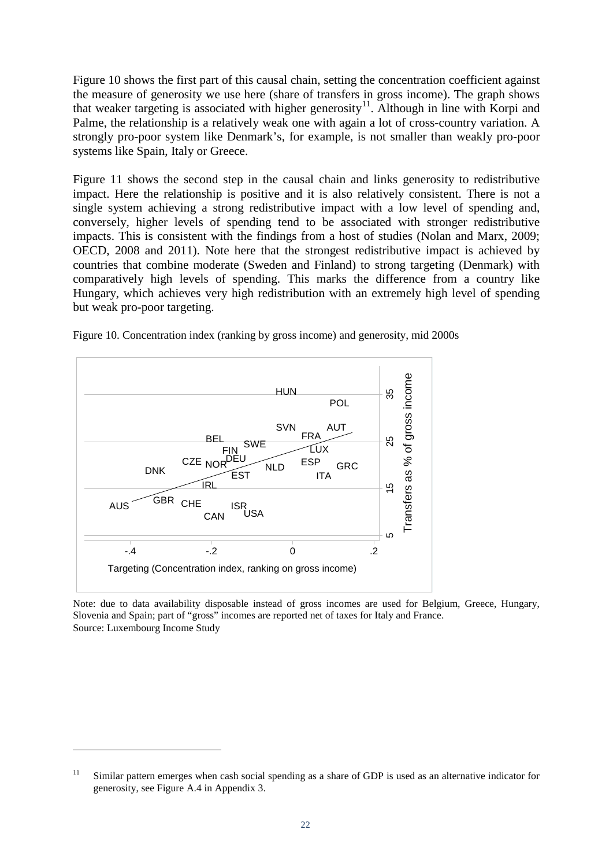Figure 10 shows the first part of this causal chain, setting the concentration coefficient against the measure of generosity we use here (share of transfers in gross income). The graph shows that weaker targeting is associated with higher generosity<sup>[11](#page-19-0)</sup>. Although in line with Korpi and Palme, the relationship is a relatively weak one with again a lot of cross-country variation. A strongly pro-poor system like Denmark's, for example, is not smaller than weakly pro-poor systems like Spain, Italy or Greece.

Figure 11 shows the second step in the causal chain and links generosity to redistributive impact. Here the relationship is positive and it is also relatively consistent. There is not a single system achieving a strong redistributive impact with a low level of spending and, conversely, higher levels of spending tend to be associated with stronger redistributive impacts. This is consistent with the findings from a host of studies (Nolan and Marx, 2009; OECD, 2008 and 2011). Note here that the strongest redistributive impact is achieved by countries that combine moderate (Sweden and Finland) to strong targeting (Denmark) with comparatively high levels of spending. This marks the difference from a country like Hungary, which achieves very high redistribution with an extremely high level of spending but weak pro-poor targeting.

![](_page_22_Figure_2.jpeg)

<span id="page-22-0"></span>-

Figure 10. Concentration index (ranking by gross income) and generosity, mid 2000s

Note: due to data availability disposable instead of gross incomes are used for Belgium, Greece, Hungary, Slovenia and Spain; part of "gross" incomes are reported net of taxes for Italy and France. Source: Luxembourg Income Study

<sup>&</sup>lt;sup>11</sup> Similar pattern emerges when cash social spending as a share of GDP is used as an alternative indicator for generosity, see Figure A.4 in Appendix 3.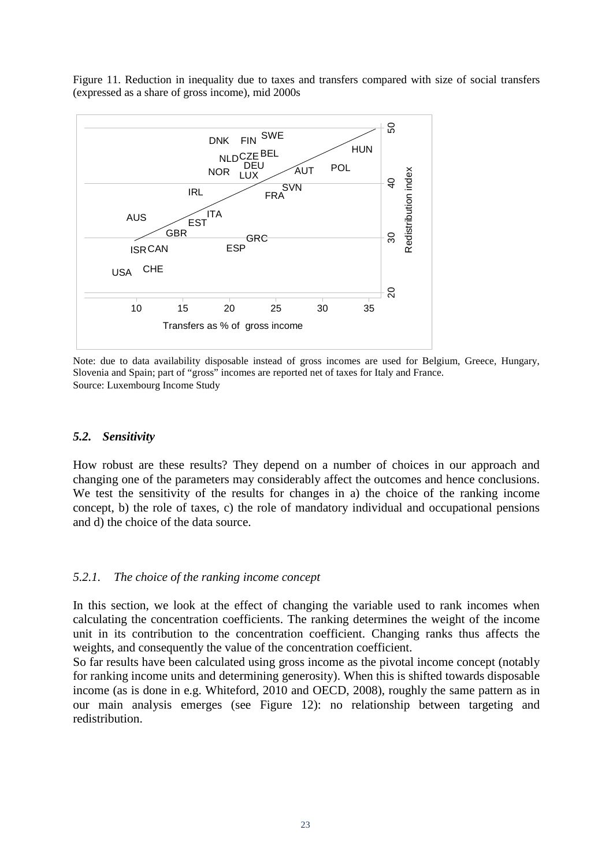Figure 11. Reduction in inequality due to taxes and transfers compared with size of social transfers (expressed as a share of gross income), mid 2000s

![](_page_23_Figure_1.jpeg)

Note: due to data availability disposable instead of gross incomes are used for Belgium, Greece, Hungary, Slovenia and Spain; part of "gross" incomes are reported net of taxes for Italy and France. Source: Luxembourg Income Study

## *5.2. Sensitivity*

How robust are these results? They depend on a number of choices in our approach and changing one of the parameters may considerably affect the outcomes and hence conclusions. We test the sensitivity of the results for changes in a) the choice of the ranking income concept, b) the role of taxes, c) the role of mandatory individual and occupational pensions and d) the choice of the data source.

## *5.2.1. The choice of the ranking income concept*

In this section, we look at the effect of changing the variable used to rank incomes when calculating the concentration coefficients. The ranking determines the weight of the income unit in its contribution to the concentration coefficient. Changing ranks thus affects the weights, and consequently the value of the concentration coefficient.

So far results have been calculated using gross income as the pivotal income concept (notably for ranking income units and determining generosity). When this is shifted towards disposable income (as is done in e.g. Whiteford, 2010 and OECD, 2008), roughly the same pattern as in our main analysis emerges (see Figure 12): no relationship between targeting and redistribution.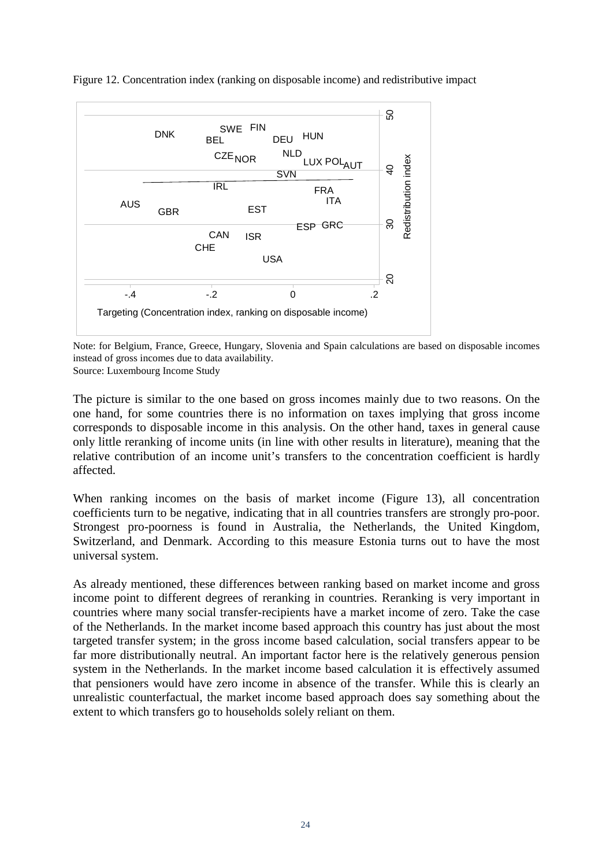![](_page_24_Figure_0.jpeg)

Figure 12. Concentration index (ranking on disposable income) and redistributive impact

Note: for Belgium, France, Greece, Hungary, Slovenia and Spain calculations are based on disposable incomes instead of gross incomes due to data availability.

Source: Luxembourg Income Study

The picture is similar to the one based on gross incomes mainly due to two reasons. On the one hand, for some countries there is no information on taxes implying that gross income corresponds to disposable income in this analysis. On the other hand, taxes in general cause only little reranking of income units (in line with other results in literature), meaning that the relative contribution of an income unit's transfers to the concentration coefficient is hardly affected.

When ranking incomes on the basis of market income (Figure 13), all concentration coefficients turn to be negative, indicating that in all countries transfers are strongly pro-poor. Strongest pro-poorness is found in Australia, the Netherlands, the United Kingdom, Switzerland, and Denmark. According to this measure Estonia turns out to have the most universal system.

As already mentioned, these differences between ranking based on market income and gross income point to different degrees of reranking in countries. Reranking is very important in countries where many social transfer-recipients have a market income of zero. Take the case of the Netherlands. In the market income based approach this country has just about the most targeted transfer system; in the gross income based calculation, social transfers appear to be far more distributionally neutral. An important factor here is the relatively generous pension system in the Netherlands. In the market income based calculation it is effectively assumed that pensioners would have zero income in absence of the transfer. While this is clearly an unrealistic counterfactual, the market income based approach does say something about the extent to which transfers go to households solely reliant on them.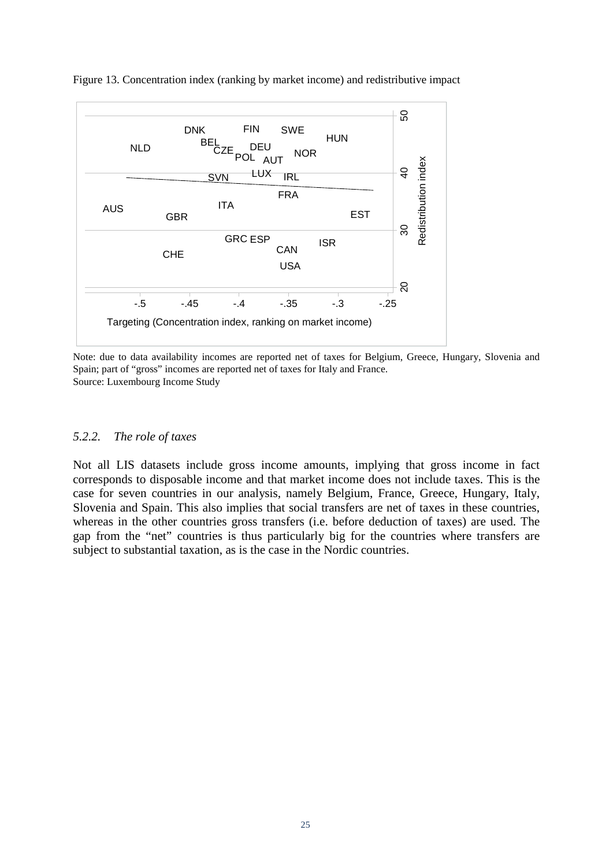![](_page_25_Figure_0.jpeg)

Figure 13. Concentration index (ranking by market income) and redistributive impact

Note: due to data availability incomes are reported net of taxes for Belgium, Greece, Hungary, Slovenia and Spain; part of "gross" incomes are reported net of taxes for Italy and France. Source: Luxembourg Income Study

## *5.2.2. The role of taxes*

Not all LIS datasets include gross income amounts, implying that gross income in fact corresponds to disposable income and that market income does not include taxes. This is the case for seven countries in our analysis, namely Belgium, France, Greece, Hungary, Italy, Slovenia and Spain. This also implies that social transfers are net of taxes in these countries, whereas in the other countries gross transfers (i.e. before deduction of taxes) are used. The gap from the "net" countries is thus particularly big for the countries where transfers are subject to substantial taxation, as is the case in the Nordic countries.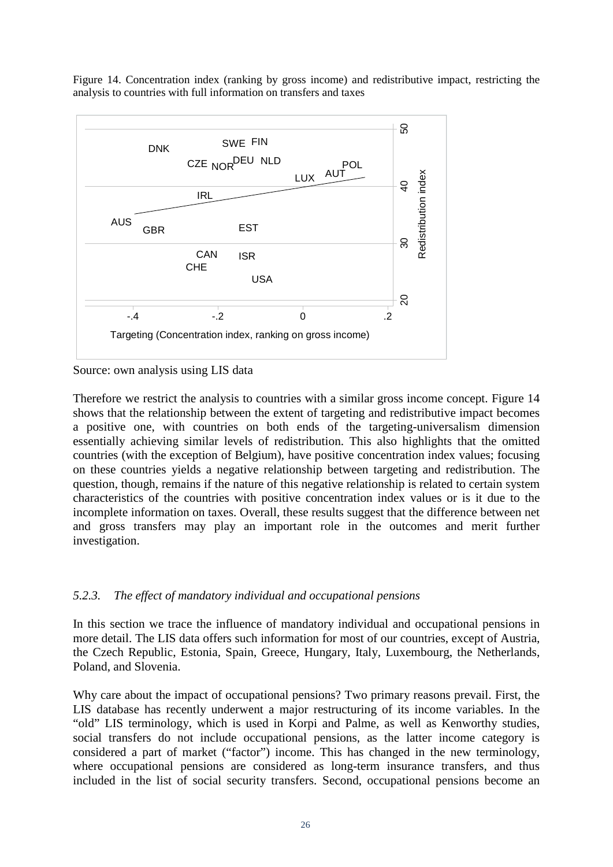Figure 14. Concentration index (ranking by gross income) and redistributive impact, restricting the analysis to countries with full information on transfers and taxes

![](_page_26_Figure_1.jpeg)

Source: own analysis using LIS data

Therefore we restrict the analysis to countries with a similar gross income concept. Figure 14 shows that the relationship between the extent of targeting and redistributive impact becomes a positive one, with countries on both ends of the targeting-universalism dimension essentially achieving similar levels of redistribution. This also highlights that the omitted countries (with the exception of Belgium), have positive concentration index values; focusing on these countries yields a negative relationship between targeting and redistribution. The question, though, remains if the nature of this negative relationship is related to certain system characteristics of the countries with positive concentration index values or is it due to the incomplete information on taxes. Overall, these results suggest that the difference between net and gross transfers may play an important role in the outcomes and merit further investigation.

## *5.2.3. The effect of mandatory individual and occupational pensions*

In this section we trace the influence of mandatory individual and occupational pensions in more detail. The LIS data offers such information for most of our countries, except of Austria, the Czech Republic, Estonia, Spain, Greece, Hungary, Italy, Luxembourg, the Netherlands, Poland, and Slovenia.

Why care about the impact of occupational pensions? Two primary reasons prevail. First, the LIS database has recently underwent a major restructuring of its income variables. In the "old" LIS terminology, which is used in Korpi and Palme, as well as Kenworthy studies, social transfers do not include occupational pensions, as the latter income category is considered a part of market ("factor") income. This has changed in the new terminology, where occupational pensions are considered as long-term insurance transfers, and thus included in the list of social security transfers. Second, occupational pensions become an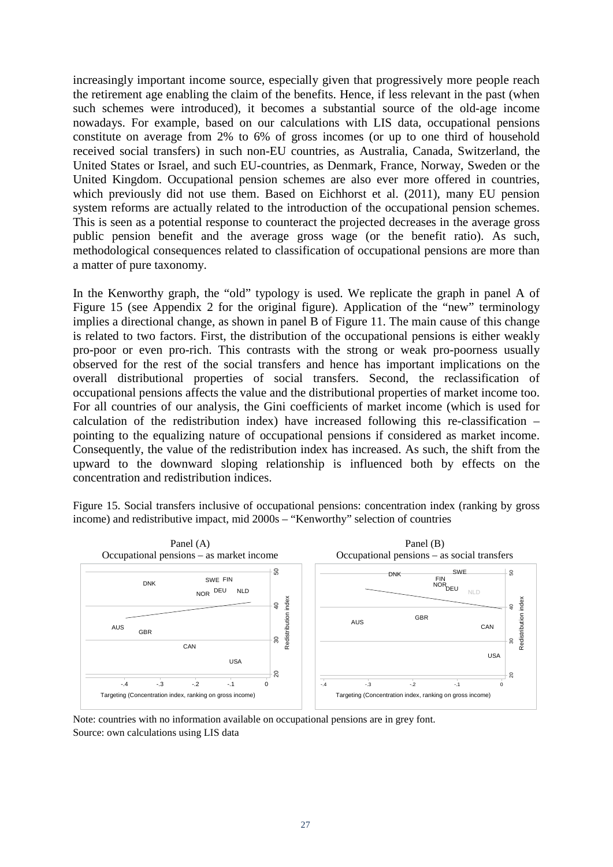increasingly important income source, especially given that progressively more people reach the retirement age enabling the claim of the benefits. Hence, if less relevant in the past (when such schemes were introduced), it becomes a substantial source of the old-age income nowadays. For example, based on our calculations with LIS data, occupational pensions constitute on average from 2% to 6% of gross incomes (or up to one third of household received social transfers) in such non-EU countries, as Australia, Canada, Switzerland, the United States or Israel, and such EU-countries, as Denmark, France, Norway, Sweden or the United Kingdom. Occupational pension schemes are also ever more offered in countries, which previously did not use them. Based on Eichhorst et al. (2011), many EU pension system reforms are actually related to the introduction of the occupational pension schemes. This is seen as a potential response to counteract the projected decreases in the average gross public pension benefit and the average gross wage (or the benefit ratio). As such, methodological consequences related to classification of occupational pensions are more than a matter of pure taxonomy.

In the Kenworthy graph, the "old" typology is used. We replicate the graph in panel A of Figure 15 (see Appendix 2 for the original figure). Application of the "new" terminology implies a directional change, as shown in panel B of Figure 11. The main cause of this change is related to two factors. First, the distribution of the occupational pensions is either weakly pro-poor or even pro-rich. This contrasts with the strong or weak pro-poorness usually observed for the rest of the social transfers and hence has important implications on the overall distributional properties of social transfers. Second, the reclassification of occupational pensions affects the value and the distributional properties of market income too. For all countries of our analysis, the Gini coefficients of market income (which is used for calculation of the redistribution index) have increased following this re-classification – pointing to the equalizing nature of occupational pensions if considered as market income. Consequently, the value of the redistribution index has increased. As such, the shift from the upward to the downward sloping relationship is influenced both by effects on the concentration and redistribution indices.

Figure 15. Social transfers inclusive of occupational pensions: concentration index (ranking by gross income) and redistributive impact, mid 2000s – "Kenworthy" selection of countries

![](_page_27_Figure_3.jpeg)

Note: countries with no information available on occupational pensions are in grey font. Source: own calculations using LIS data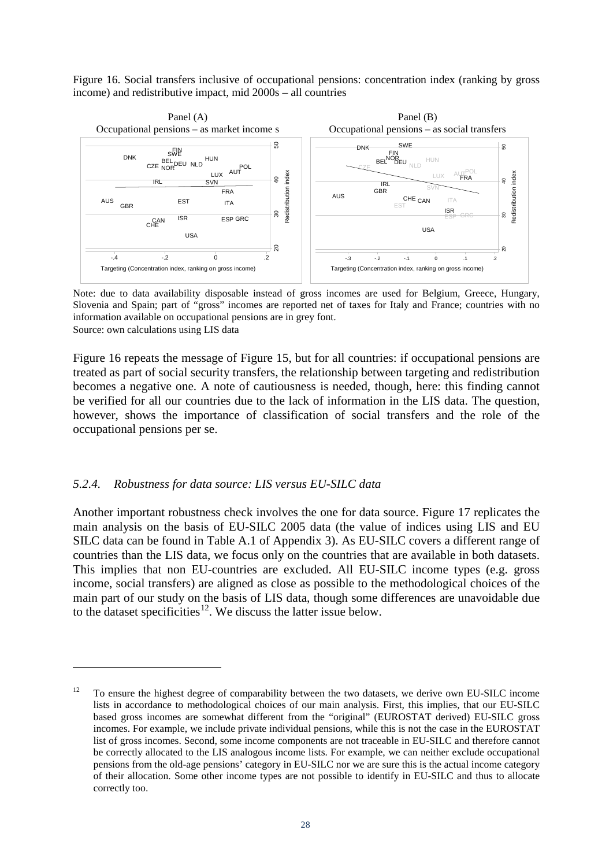Figure 16. Social transfers inclusive of occupational pensions: concentration index (ranking by gross income) and redistributive impact, mid 2000s – all countries

![](_page_28_Figure_1.jpeg)

Note: due to data availability disposable instead of gross incomes are used for Belgium, Greece, Hungary, Slovenia and Spain; part of "gross" incomes are reported net of taxes for Italy and France; countries with no information available on occupational pensions are in grey font. Source: own calculations using LIS data

Figure 16 repeats the message of Figure 15, but for all countries: if occupational pensions are treated as part of social security transfers, the relationship between targeting and redistribution becomes a negative one. A note of cautiousness is needed, though, here: this finding cannot be verified for all our countries due to the lack of information in the LIS data. The question, however, shows the importance of classification of social transfers and the role of the occupational pensions per se.

## *5.2.4. Robustness for data source: LIS versus EU-SILC data*

-

Another important robustness check involves the one for data source. Figure 17 replicates the main analysis on the basis of EU-SILC 2005 data (the value of indices using LIS and EU SILC data can be found in Table A.1 of Appendix 3). As EU-SILC covers a different range of countries than the LIS data, we focus only on the countries that are available in both datasets. This implies that non EU-countries are excluded. All EU-SILC income types (e.g. gross income, social transfers) are aligned as close as possible to the methodological choices of the main part of our study on the basis of LIS data, though some differences are unavoidable due to the dataset specificities<sup>[12](#page-22-0)</sup>. We discuss the latter issue below.

<span id="page-28-0"></span><sup>&</sup>lt;sup>12</sup> To ensure the highest degree of comparability between the two datasets, we derive own EU-SILC income lists in accordance to methodological choices of our main analysis. First, this implies, that our EU-SILC based gross incomes are somewhat different from the "original" (EUROSTAT derived) EU-SILC gross incomes. For example, we include private individual pensions, while this is not the case in the EUROSTAT list of gross incomes. Second, some income components are not traceable in EU-SILC and therefore cannot be correctly allocated to the LIS analogous income lists. For example, we can neither exclude occupational pensions from the old-age pensions' category in EU-SILC nor we are sure this is the actual income category of their allocation. Some other income types are not possible to identify in EU-SILC and thus to allocate correctly too.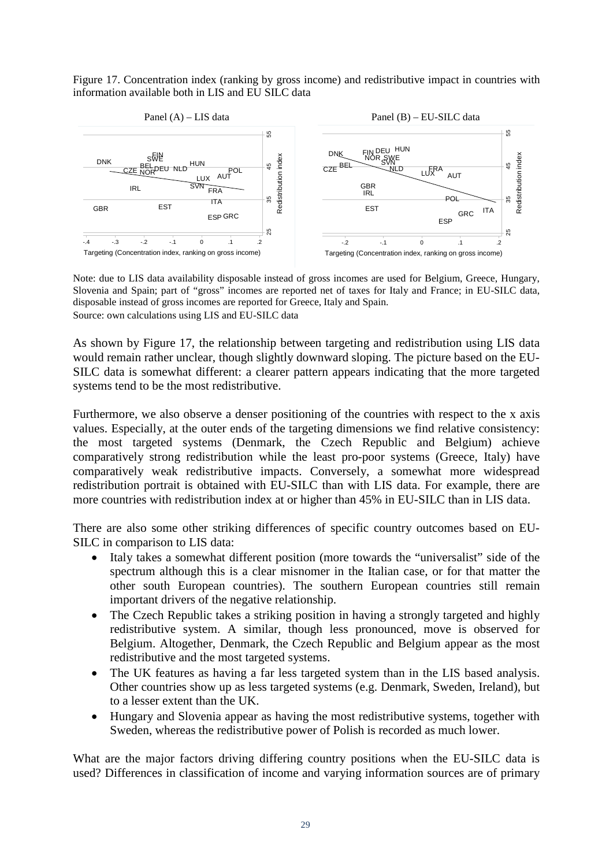Figure 17. Concentration index (ranking by gross income) and redistributive impact in countries with information available both in LIS and EU SILC data

![](_page_29_Figure_1.jpeg)

Note: due to LIS data availability disposable instead of gross incomes are used for Belgium, Greece, Hungary, Slovenia and Spain; part of "gross" incomes are reported net of taxes for Italy and France; in EU-SILC data, disposable instead of gross incomes are reported for Greece, Italy and Spain. Source: own calculations using LIS and EU-SILC data

As shown by Figure 17, the relationship between targeting and redistribution using LIS data would remain rather unclear, though slightly downward sloping. The picture based on the EU-SILC data is somewhat different: a clearer pattern appears indicating that the more targeted systems tend to be the most redistributive.

Furthermore, we also observe a denser positioning of the countries with respect to the x axis values. Especially, at the outer ends of the targeting dimensions we find relative consistency: the most targeted systems (Denmark, the Czech Republic and Belgium) achieve comparatively strong redistribution while the least pro-poor systems (Greece, Italy) have comparatively weak redistributive impacts. Conversely, a somewhat more widespread redistribution portrait is obtained with EU-SILC than with LIS data. For example, there are more countries with redistribution index at or higher than 45% in EU-SILC than in LIS data.

There are also some other striking differences of specific country outcomes based on EU-SILC in comparison to LIS data:

- Italy takes a somewhat different position (more towards the "universalist" side of the spectrum although this is a clear misnomer in the Italian case, or for that matter the other south European countries). The southern European countries still remain important drivers of the negative relationship.
- The Czech Republic takes a striking position in having a strongly targeted and highly redistributive system. A similar, though less pronounced, move is observed for Belgium. Altogether, Denmark, the Czech Republic and Belgium appear as the most redistributive and the most targeted systems.
- The UK features as having a far less targeted system than in the LIS based analysis. Other countries show up as less targeted systems (e.g. Denmark, Sweden, Ireland), but to a lesser extent than the UK.
- Hungary and Slovenia appear as having the most redistributive systems, together with Sweden, whereas the redistributive power of Polish is recorded as much lower.

What are the major factors driving differing country positions when the EU-SILC data is used? Differences in classification of income and varying information sources are of primary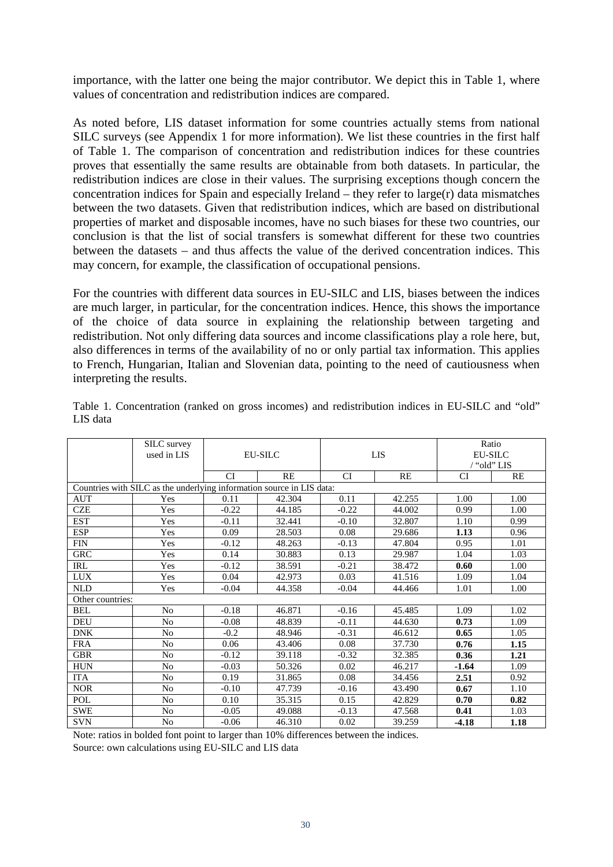importance, with the latter one being the major contributor. We depict this in Table 1, where values of concentration and redistribution indices are compared.

As noted before, LIS dataset information for some countries actually stems from national SILC surveys (see Appendix 1 for more information). We list these countries in the first half of Table 1. The comparison of concentration and redistribution indices for these countries proves that essentially the same results are obtainable from both datasets. In particular, the redistribution indices are close in their values. The surprising exceptions though concern the concentration indices for Spain and especially Ireland – they refer to large(r) data mismatches between the two datasets. Given that redistribution indices, which are based on distributional properties of market and disposable incomes, have no such biases for these two countries, our conclusion is that the list of social transfers is somewhat different for these two countries between the datasets – and thus affects the value of the derived concentration indices. This may concern, for example, the classification of occupational pensions.

For the countries with different data sources in EU-SILC and LIS, biases between the indices are much larger, in particular, for the concentration indices. Hence, this shows the importance of the choice of data source in explaining the relationship between targeting and redistribution. Not only differing data sources and income classifications play a role here, but, also differences in terms of the availability of no or only partial tax information. This applies to French, Hungarian, Italian and Slovenian data, pointing to the need of cautiousness when interpreting the results.

|                  | <b>SILC</b> survey                                                    |           |                |           |        | Ratio          |      |  |  |
|------------------|-----------------------------------------------------------------------|-----------|----------------|-----------|--------|----------------|------|--|--|
|                  | used in LIS                                                           |           | <b>EU-SILC</b> |           | LIS    | <b>EU-SILC</b> |      |  |  |
|                  |                                                                       |           |                |           |        | / "old" LIS    |      |  |  |
|                  |                                                                       | <b>CI</b> | <b>RE</b>      | <b>CI</b> | RE     | <b>CI</b>      | RE   |  |  |
|                  | Countries with SILC as the underlying information source in LIS data: |           |                |           |        |                |      |  |  |
| <b>AUT</b>       | Yes                                                                   | 0.11      | 42.304         | 0.11      | 42.255 | 1.00           | 1.00 |  |  |
| <b>CZE</b>       | Yes                                                                   | $-0.22$   | 44.185         | $-0.22$   | 44.002 | 0.99           | 1.00 |  |  |
| <b>EST</b>       | Yes                                                                   | $-0.11$   | 32.441         | $-0.10$   | 32.807 | 1.10           | 0.99 |  |  |
| <b>ESP</b>       | Yes                                                                   | 0.09      | 28.503         | 0.08      | 29.686 | 1.13           | 0.96 |  |  |
| <b>FIN</b>       | Yes                                                                   | $-0.12$   | 48.263         | $-0.13$   | 47.804 | 0.95           | 1.01 |  |  |
| <b>GRC</b>       | Yes                                                                   | 0.14      | 30.883         | 0.13      | 29.987 | 1.04           | 1.03 |  |  |
| IRL              | Yes                                                                   | $-0.12$   | 38.591         | $-0.21$   | 38.472 | 0.60           | 1.00 |  |  |
| <b>LUX</b>       | Yes                                                                   | 0.04      | 42.973<br>0.03 |           | 41.516 | 1.09           | 1.04 |  |  |
| <b>NLD</b>       | Yes                                                                   | $-0.04$   | 44.358         | $-0.04$   | 44.466 | 1.01           | 1.00 |  |  |
| Other countries: |                                                                       |           |                |           |        |                |      |  |  |
| <b>BEL</b>       | No                                                                    | $-0.18$   | 46.871         | $-0.16$   | 45.485 | 1.09           | 1.02 |  |  |
| <b>DEU</b>       | No                                                                    | $-0.08$   | 48.839         | $-0.11$   | 44.630 | 0.73           | 1.09 |  |  |
| <b>DNK</b>       | No                                                                    | $-0.2$    | 48.946         | $-0.31$   | 46.612 | 0.65           | 1.05 |  |  |
| <b>FRA</b>       | No                                                                    | 0.06      | 43.406         | 0.08      | 37.730 | 0.76           | 1.15 |  |  |
| <b>GBR</b>       | No                                                                    | $-0.12$   | 39.118         | $-0.32$   | 32.385 | 0.36           | 1.21 |  |  |
| <b>HUN</b>       | No                                                                    | $-0.03$   | 50.326         | 0.02      | 46.217 | $-1.64$        | 1.09 |  |  |
| <b>ITA</b>       | No                                                                    | 0.19      | 31.865         | 0.08      | 34.456 | 2.51           | 0.92 |  |  |
| <b>NOR</b>       | No                                                                    | $-0.10$   | 47.739         | $-0.16$   | 43.490 | 0.67           | 1.10 |  |  |
| POL              | No                                                                    | 0.10      | 35.315         | 0.15      | 42.829 | 0.70           | 0.82 |  |  |
| <b>SWE</b>       | No                                                                    | $-0.05$   | 49.088         | $-0.13$   | 47.568 | 0.41           | 1.03 |  |  |
| <b>SVN</b>       | No                                                                    | $-0.06$   | 46.310         | 0.02      | 39.259 | $-4.18$        | 1.18 |  |  |

Table 1. Concentration (ranked on gross incomes) and redistribution indices in EU-SILC and "old" LIS data

Note: ratios in bolded font point to larger than 10% differences between the indices. Source: own calculations using EU-SILC and LIS data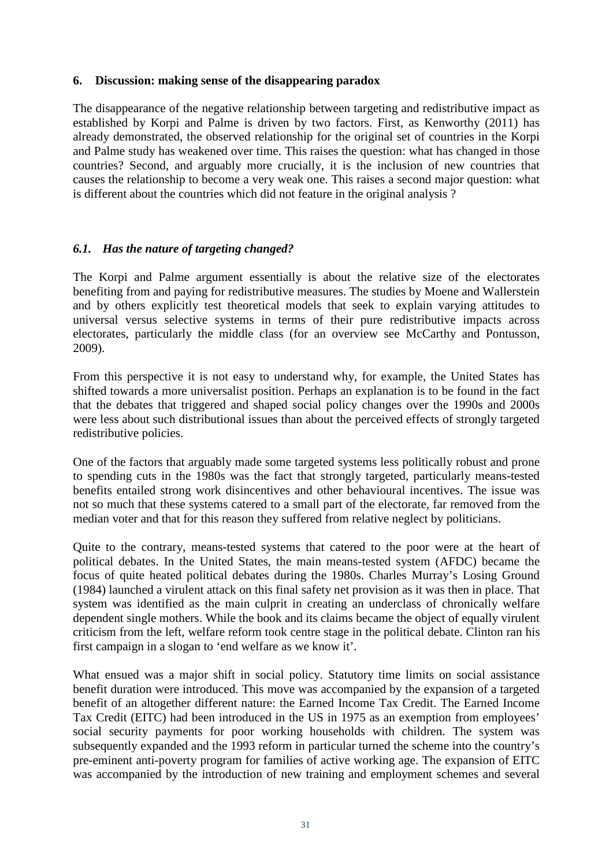## **6. Discussion: making sense of the disappearing paradox**

The disappearance of the negative relationship between targeting and redistributive impact as established by Korpi and Palme is driven by two factors. First, as Kenworthy (2011) has already demonstrated, the observed relationship for the original set of countries in the Korpi and Palme study has weakened over time. This raises the question: what has changed in those countries? Second, and arguably more crucially, it is the inclusion of new countries that causes the relationship to become a very weak one. This raises a second major question: what is different about the countries which did not feature in the original analysis ?

## *6.1. Has the nature of targeting changed?*

The Korpi and Palme argument essentially is about the relative size of the electorates benefiting from and paying for redistributive measures. The studies by Moene and Wallerstein and by others explicitly test theoretical models that seek to explain varying attitudes to universal versus selective systems in terms of their pure redistributive impacts across electorates, particularly the middle class (for an overview see McCarthy and Pontusson, 2009).

From this perspective it is not easy to understand why, for example, the United States has shifted towards a more universalist position. Perhaps an explanation is to be found in the fact that the debates that triggered and shaped social policy changes over the 1990s and 2000s were less about such distributional issues than about the perceived effects of strongly targeted redistributive policies.

One of the factors that arguably made some targeted systems less politically robust and prone to spending cuts in the 1980s was the fact that strongly targeted, particularly means-tested benefits entailed strong work disincentives and other behavioural incentives. The issue was not so much that these systems catered to a small part of the electorate, far removed from the median voter and that for this reason they suffered from relative neglect by politicians.

Quite to the contrary, means-tested systems that catered to the poor were at the heart of political debates. In the United States, the main means-tested system (AFDC) became the focus of quite heated political debates during the 1980s. Charles Murray's Losing Ground (1984) launched a virulent attack on this final safety net provision as it was then in place. That system was identified as the main culprit in creating an underclass of chronically welfare dependent single mothers. While the book and its claims became the object of equally virulent criticism from the left, welfare reform took centre stage in the political debate. Clinton ran his first campaign in a slogan to 'end welfare as we know it'.

What ensued was a major shift in social policy. Statutory time limits on social assistance benefit duration were introduced. This move was accompanied by the expansion of a targeted benefit of an altogether different nature: the Earned Income Tax Credit. The Earned Income Tax Credit (EITC) had been introduced in the US in 1975 as an exemption from employees' social security payments for poor working households with children. The system was subsequently expanded and the 1993 reform in particular turned the scheme into the country's pre-eminent anti-poverty program for families of active working age. The expansion of EITC was accompanied by the introduction of new training and employment schemes and several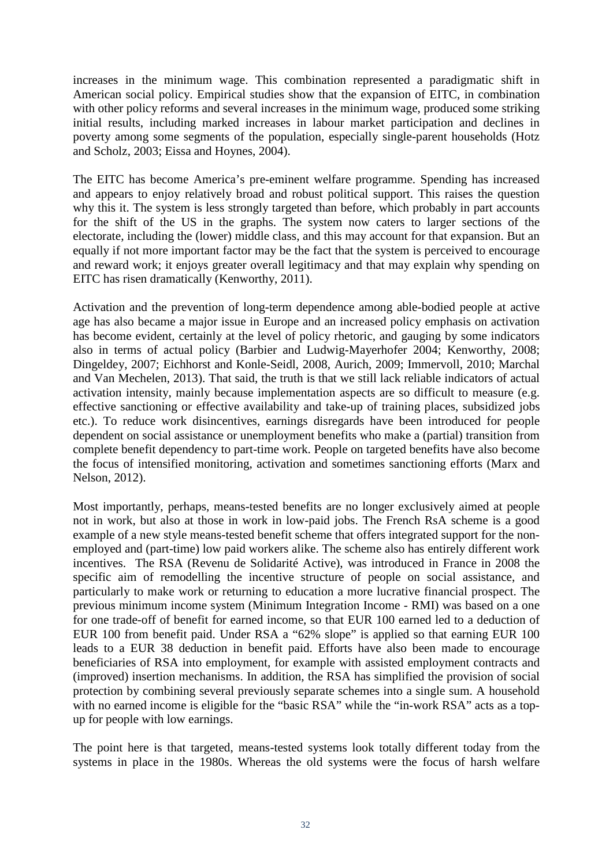increases in the minimum wage. This combination represented a paradigmatic shift in American social policy. Empirical studies show that the expansion of EITC, in combination with other policy reforms and several increases in the minimum wage, produced some striking initial results, including marked increases in labour market participation and declines in poverty among some segments of the population, especially single-parent households (Hotz and Scholz, 2003; Eissa and Hoynes, 2004).

The EITC has become America's pre-eminent welfare programme. Spending has increased and appears to enjoy relatively broad and robust political support. This raises the question why this it. The system is less strongly targeted than before, which probably in part accounts for the shift of the US in the graphs. The system now caters to larger sections of the electorate, including the (lower) middle class, and this may account for that expansion. But an equally if not more important factor may be the fact that the system is perceived to encourage and reward work; it enjoys greater overall legitimacy and that may explain why spending on EITC has risen dramatically (Kenworthy, 2011).

Activation and the prevention of long-term dependence among able-bodied people at active age has also became a major issue in Europe and an increased policy emphasis on activation has become evident, certainly at the level of policy rhetoric, and gauging by some indicators also in terms of actual policy (Barbier and Ludwig-Mayerhofer 2004; Kenworthy, 2008; Dingeldey, 2007; Eichhorst and Konle-Seidl, 2008, Aurich, 2009; Immervoll, 2010; Marchal and Van Mechelen, 2013). That said, the truth is that we still lack reliable indicators of actual activation intensity, mainly because implementation aspects are so difficult to measure (e.g. effective sanctioning or effective availability and take-up of training places, subsidized jobs etc.). To reduce work disincentives, earnings disregards have been introduced for people dependent on social assistance or unemployment benefits who make a (partial) transition from complete benefit dependency to part-time work. People on targeted benefits have also become the focus of intensified monitoring, activation and sometimes sanctioning efforts (Marx and Nelson, 2012).

Most importantly, perhaps, means-tested benefits are no longer exclusively aimed at people not in work, but also at those in work in low-paid jobs. The French RsA scheme is a good example of a new style means-tested benefit scheme that offers integrated support for the nonemployed and (part-time) low paid workers alike. The scheme also has entirely different work incentives. The RSA (Revenu de Solidarité Active), was introduced in France in 2008 the specific aim of remodelling the incentive structure of people on social assistance, and particularly to make work or returning to education a more lucrative financial prospect. The previous minimum income system (Minimum Integration Income - RMI) was based on a one for one trade-off of benefit for earned income, so that EUR 100 earned led to a deduction of EUR 100 from benefit paid. Under RSA a "62% slope" is applied so that earning EUR 100 leads to a EUR 38 deduction in benefit paid. Efforts have also been made to encourage beneficiaries of RSA into employment, for example with assisted employment contracts and (improved) insertion mechanisms. In addition, the RSA has simplified the provision of social protection by combining several previously separate schemes into a single sum. A household with no earned income is eligible for the "basic RSA" while the "in-work RSA" acts as a topup for people with low earnings.

The point here is that targeted, means-tested systems look totally different today from the systems in place in the 1980s. Whereas the old systems were the focus of harsh welfare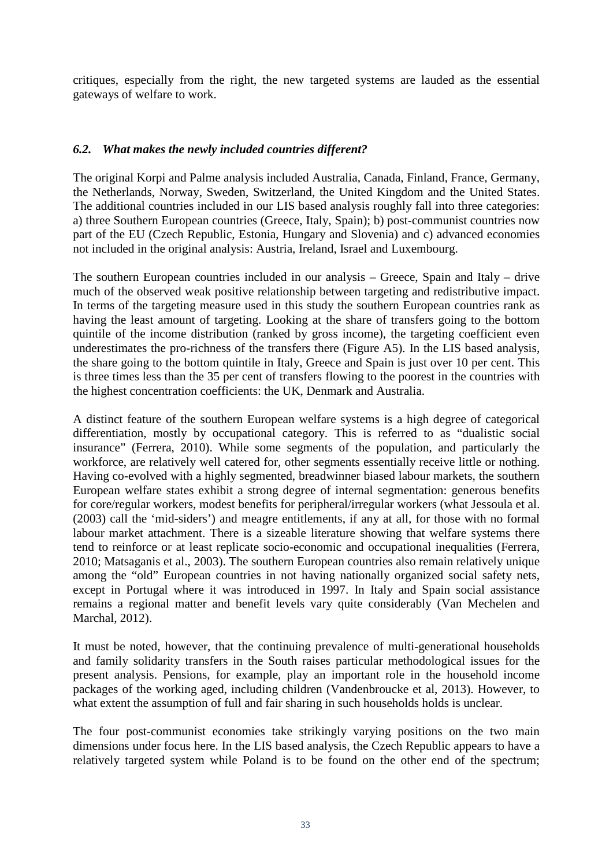critiques, especially from the right, the new targeted systems are lauded as the essential gateways of welfare to work.

## *6.2. What makes the newly included countries different?*

The original Korpi and Palme analysis included Australia, Canada, Finland, France, Germany, the Netherlands, Norway, Sweden, Switzerland, the United Kingdom and the United States. The additional countries included in our LIS based analysis roughly fall into three categories: a) three Southern European countries (Greece, Italy, Spain); b) post-communist countries now part of the EU (Czech Republic, Estonia, Hungary and Slovenia) and c) advanced economies not included in the original analysis: Austria, Ireland, Israel and Luxembourg.

The southern European countries included in our analysis – Greece, Spain and Italy – drive much of the observed weak positive relationship between targeting and redistributive impact. In terms of the targeting measure used in this study the southern European countries rank as having the least amount of targeting. Looking at the share of transfers going to the bottom quintile of the income distribution (ranked by gross income), the targeting coefficient even underestimates the pro-richness of the transfers there (Figure A5). In the LIS based analysis, the share going to the bottom quintile in Italy, Greece and Spain is just over 10 per cent. This is three times less than the 35 per cent of transfers flowing to the poorest in the countries with the highest concentration coefficients: the UK, Denmark and Australia.

A distinct feature of the southern European welfare systems is a high degree of categorical differentiation, mostly by occupational category. This is referred to as "dualistic social insurance" (Ferrera, 2010). While some segments of the population, and particularly the workforce, are relatively well catered for, other segments essentially receive little or nothing. Having co-evolved with a highly segmented, breadwinner biased labour markets, the southern European welfare states exhibit a strong degree of internal segmentation: generous benefits for core/regular workers, modest benefits for peripheral/irregular workers (what Jessoula et al. (2003) call the 'mid-siders') and meagre entitlements, if any at all, for those with no formal labour market attachment. There is a sizeable literature showing that welfare systems there tend to reinforce or at least replicate socio-economic and occupational inequalities (Ferrera, 2010; Matsaganis et al., 2003). The southern European countries also remain relatively unique among the "old" European countries in not having nationally organized social safety nets, except in Portugal where it was introduced in 1997. In Italy and Spain social assistance remains a regional matter and benefit levels vary quite considerably (Van Mechelen and Marchal, 2012).

It must be noted, however, that the continuing prevalence of multi-generational households and family solidarity transfers in the South raises particular methodological issues for the present analysis. Pensions, for example, play an important role in the household income packages of the working aged, including children (Vandenbroucke et al, 2013). However, to what extent the assumption of full and fair sharing in such households holds is unclear.

The four post-communist economies take strikingly varying positions on the two main dimensions under focus here. In the LIS based analysis, the Czech Republic appears to have a relatively targeted system while Poland is to be found on the other end of the spectrum;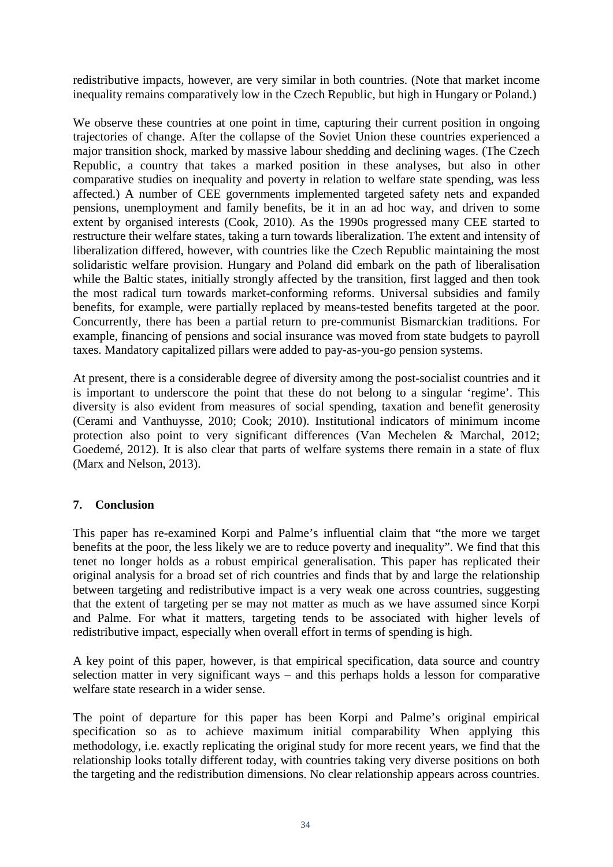redistributive impacts, however, are very similar in both countries. (Note that market income inequality remains comparatively low in the Czech Republic, but high in Hungary or Poland.)

We observe these countries at one point in time, capturing their current position in ongoing trajectories of change. After the collapse of the Soviet Union these countries experienced a major transition shock, marked by massive labour shedding and declining wages. (The Czech Republic, a country that takes a marked position in these analyses, but also in other comparative studies on inequality and poverty in relation to welfare state spending, was less affected.) A number of CEE governments implemented targeted safety nets and expanded pensions, unemployment and family benefits, be it in an ad hoc way, and driven to some extent by organised interests (Cook, 2010). As the 1990s progressed many CEE started to restructure their welfare states, taking a turn towards liberalization. The extent and intensity of liberalization differed, however, with countries like the Czech Republic maintaining the most solidaristic welfare provision. Hungary and Poland did embark on the path of liberalisation while the Baltic states, initially strongly affected by the transition, first lagged and then took the most radical turn towards market-conforming reforms. Universal subsidies and family benefits, for example, were partially replaced by means-tested benefits targeted at the poor. Concurrently, there has been a partial return to pre-communist Bismarckian traditions. For example, financing of pensions and social insurance was moved from state budgets to payroll taxes. Mandatory capitalized pillars were added to pay-as-you-go pension systems.

At present, there is a considerable degree of diversity among the post-socialist countries and it is important to underscore the point that these do not belong to a singular 'regime'. This diversity is also evident from measures of social spending, taxation and benefit generosity (Cerami and Vanthuysse, 2010; Cook; 2010). Institutional indicators of minimum income protection also point to very significant differences (Van Mechelen & Marchal, 2012; Goedemé, 2012). It is also clear that parts of welfare systems there remain in a state of flux (Marx and Nelson, 2013).

## **7. Conclusion**

This paper has re-examined Korpi and Palme's influential claim that "the more we target benefits at the poor, the less likely we are to reduce poverty and inequality". We find that this tenet no longer holds as a robust empirical generalisation. This paper has replicated their original analysis for a broad set of rich countries and finds that by and large the relationship between targeting and redistributive impact is a very weak one across countries, suggesting that the extent of targeting per se may not matter as much as we have assumed since Korpi and Palme. For what it matters, targeting tends to be associated with higher levels of redistributive impact, especially when overall effort in terms of spending is high.

A key point of this paper, however, is that empirical specification, data source and country selection matter in very significant ways – and this perhaps holds a lesson for comparative welfare state research in a wider sense.

The point of departure for this paper has been Korpi and Palme's original empirical specification so as to achieve maximum initial comparability When applying this methodology, i.e. exactly replicating the original study for more recent years, we find that the relationship looks totally different today, with countries taking very diverse positions on both the targeting and the redistribution dimensions. No clear relationship appears across countries.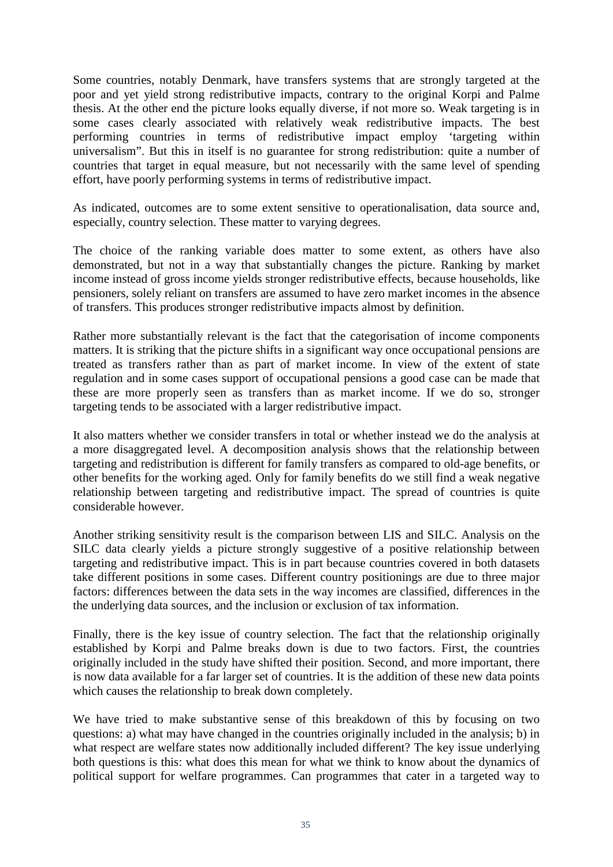Some countries, notably Denmark, have transfers systems that are strongly targeted at the poor and yet yield strong redistributive impacts, contrary to the original Korpi and Palme thesis. At the other end the picture looks equally diverse, if not more so. Weak targeting is in some cases clearly associated with relatively weak redistributive impacts. The best performing countries in terms of redistributive impact employ 'targeting within universalism". But this in itself is no guarantee for strong redistribution: quite a number of countries that target in equal measure, but not necessarily with the same level of spending effort, have poorly performing systems in terms of redistributive impact.

As indicated, outcomes are to some extent sensitive to operationalisation, data source and, especially, country selection. These matter to varying degrees.

The choice of the ranking variable does matter to some extent, as others have also demonstrated, but not in a way that substantially changes the picture. Ranking by market income instead of gross income yields stronger redistributive effects, because households, like pensioners, solely reliant on transfers are assumed to have zero market incomes in the absence of transfers. This produces stronger redistributive impacts almost by definition.

Rather more substantially relevant is the fact that the categorisation of income components matters. It is striking that the picture shifts in a significant way once occupational pensions are treated as transfers rather than as part of market income. In view of the extent of state regulation and in some cases support of occupational pensions a good case can be made that these are more properly seen as transfers than as market income. If we do so, stronger targeting tends to be associated with a larger redistributive impact.

It also matters whether we consider transfers in total or whether instead we do the analysis at a more disaggregated level. A decomposition analysis shows that the relationship between targeting and redistribution is different for family transfers as compared to old-age benefits, or other benefits for the working aged. Only for family benefits do we still find a weak negative relationship between targeting and redistributive impact. The spread of countries is quite considerable however.

Another striking sensitivity result is the comparison between LIS and SILC. Analysis on the SILC data clearly yields a picture strongly suggestive of a positive relationship between targeting and redistributive impact. This is in part because countries covered in both datasets take different positions in some cases. Different country positionings are due to three major factors: differences between the data sets in the way incomes are classified, differences in the the underlying data sources, and the inclusion or exclusion of tax information.

Finally, there is the key issue of country selection. The fact that the relationship originally established by Korpi and Palme breaks down is due to two factors. First, the countries originally included in the study have shifted their position. Second, and more important, there is now data available for a far larger set of countries. It is the addition of these new data points which causes the relationship to break down completely.

We have tried to make substantive sense of this breakdown of this by focusing on two questions: a) what may have changed in the countries originally included in the analysis; b) in what respect are welfare states now additionally included different? The key issue underlying both questions is this: what does this mean for what we think to know about the dynamics of political support for welfare programmes. Can programmes that cater in a targeted way to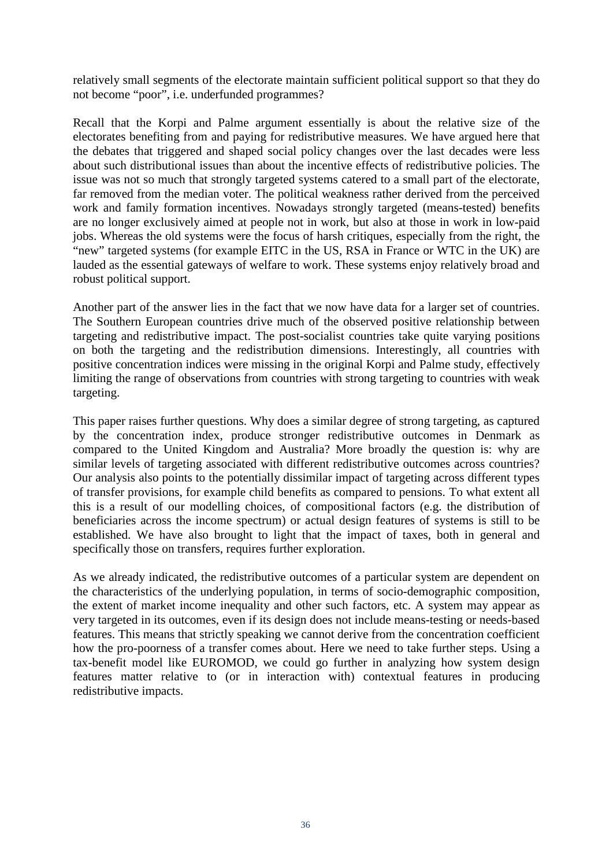relatively small segments of the electorate maintain sufficient political support so that they do not become "poor", i.e. underfunded programmes?

Recall that the Korpi and Palme argument essentially is about the relative size of the electorates benefiting from and paying for redistributive measures. We have argued here that the debates that triggered and shaped social policy changes over the last decades were less about such distributional issues than about the incentive effects of redistributive policies. The issue was not so much that strongly targeted systems catered to a small part of the electorate, far removed from the median voter. The political weakness rather derived from the perceived work and family formation incentives. Nowadays strongly targeted (means-tested) benefits are no longer exclusively aimed at people not in work, but also at those in work in low-paid jobs. Whereas the old systems were the focus of harsh critiques, especially from the right, the "new" targeted systems (for example EITC in the US, RSA in France or WTC in the UK) are lauded as the essential gateways of welfare to work. These systems enjoy relatively broad and robust political support.

Another part of the answer lies in the fact that we now have data for a larger set of countries. The Southern European countries drive much of the observed positive relationship between targeting and redistributive impact. The post-socialist countries take quite varying positions on both the targeting and the redistribution dimensions. Interestingly, all countries with positive concentration indices were missing in the original Korpi and Palme study, effectively limiting the range of observations from countries with strong targeting to countries with weak targeting.

This paper raises further questions. Why does a similar degree of strong targeting, as captured by the concentration index, produce stronger redistributive outcomes in Denmark as compared to the United Kingdom and Australia? More broadly the question is: why are similar levels of targeting associated with different redistributive outcomes across countries? Our analysis also points to the potentially dissimilar impact of targeting across different types of transfer provisions, for example child benefits as compared to pensions. To what extent all this is a result of our modelling choices, of compositional factors (e.g. the distribution of beneficiaries across the income spectrum) or actual design features of systems is still to be established. We have also brought to light that the impact of taxes, both in general and specifically those on transfers, requires further exploration.

As we already indicated, the redistributive outcomes of a particular system are dependent on the characteristics of the underlying population, in terms of socio-demographic composition, the extent of market income inequality and other such factors, etc. A system may appear as very targeted in its outcomes, even if its design does not include means-testing or needs-based features. This means that strictly speaking we cannot derive from the concentration coefficient how the pro-poorness of a transfer comes about. Here we need to take further steps. Using a tax-benefit model like EUROMOD, we could go further in analyzing how system design features matter relative to (or in interaction with) contextual features in producing redistributive impacts.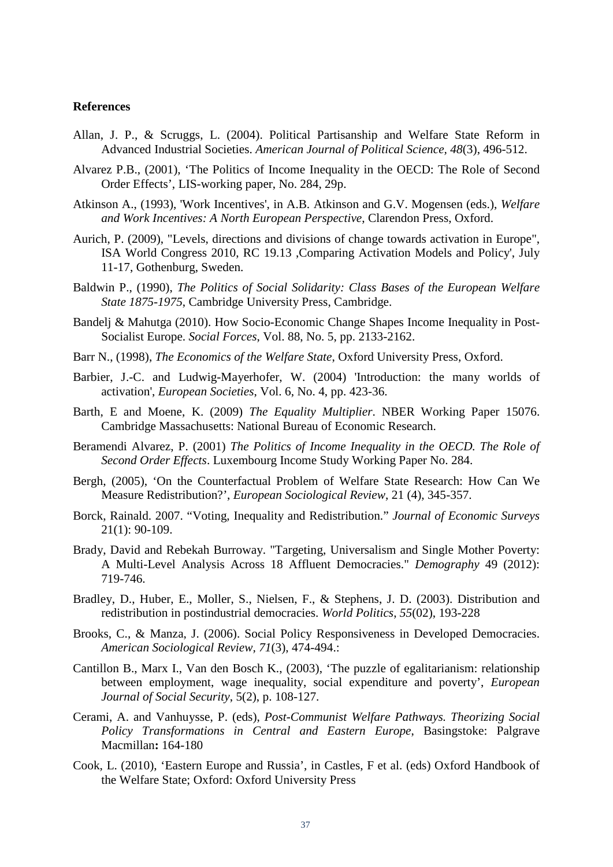#### **References**

- Allan, J. P., & Scruggs, L. (2004). Political Partisanship and Welfare State Reform in Advanced Industrial Societies. *American Journal of Political Science, 48*(3), 496-512.
- Alvarez P.B., (2001), 'The Politics of Income Inequality in the OECD: The Role of Second Order Effects', LIS-working paper, No. 284, 29p.
- Atkinson A., (1993), 'Work Incentives', in A.B. Atkinson and G.V. Mogensen (eds.), *Welfare and Work Incentives: A North European Perspective*, Clarendon Press, Oxford.
- Aurich, P. (2009), "Levels, directions and divisions of change towards activation in Europe", ISA World Congress 2010, RC 19.13 ,Comparing Activation Models and Policy', July 11-17, Gothenburg, Sweden.
- Baldwin P., (1990), *The Politics of Social Solidarity: Class Bases of the European Welfare State 1875-1975*, Cambridge University Press, Cambridge.
- Bandelj & Mahutga (2010). How Socio-Economic Change Shapes Income Inequality in Post-Socialist Europe. *Social Forces*, Vol. 88, No. 5, pp. 2133-2162.
- Barr N., (1998), *The Economics of the Welfare State*, Oxford University Press, Oxford.
- Barbier, J.-C. and Ludwig-Mayerhofer, W. (2004) 'Introduction: the many worlds of activation', *European Societies*, Vol. 6, No. 4, pp. 423-36.
- Barth, E and Moene, K. (2009) *The Equality Multiplier*. NBER Working Paper 15076. Cambridge Massachusetts: National Bureau of Economic Research.
- Beramendi Alvarez, P. (2001) *The Politics of Income Inequality in the OECD. The Role of Second Order Effects*. Luxembourg Income Study Working Paper No. 284.
- Bergh, (2005), 'On the Counterfactual Problem of Welfare State Research: How Can We Measure Redistribution?', *European Sociological Review*, 21 (4), 345-357.
- Borck, Rainald. 2007. "Voting, Inequality and Redistribution." *Journal of Economic Surveys*  21(1): 90-109.
- Brady, David and Rebekah Burroway. "Targeting, Universalism and Single Mother Poverty: A Multi-Level Analysis Across 18 Affluent Democracies." *Demography* 49 (2012): 719-746.
- Bradley, D., Huber, E., Moller, S., Nielsen, F., & Stephens, J. D. (2003). Distribution and redistribution in postindustrial democracies. *World Politics*, *55*(02), 193-228
- Brooks, C., & Manza, J. (2006). Social Policy Responsiveness in Developed Democracies. *American Sociological Review, 71*(3), 474-494.:
- Cantillon B., Marx I., Van den Bosch K., (2003), 'The puzzle of egalitarianism: relationship between employment, wage inequality, social expenditure and poverty', *European Journal of Social Security*, 5(2), p. 108-127.
- Cerami, A. and Vanhuysse, P. (eds), *Post-Communist Welfare Pathways. Theorizing Social Policy Transformations in Central and Eastern Europe*, Basingstoke: Palgrave Macmillan**:** 164-180
- Cook, L. (2010), 'Eastern Europe and Russia', in Castles, F et al. (eds) Oxford Handbook of the Welfare State; Oxford: Oxford University Press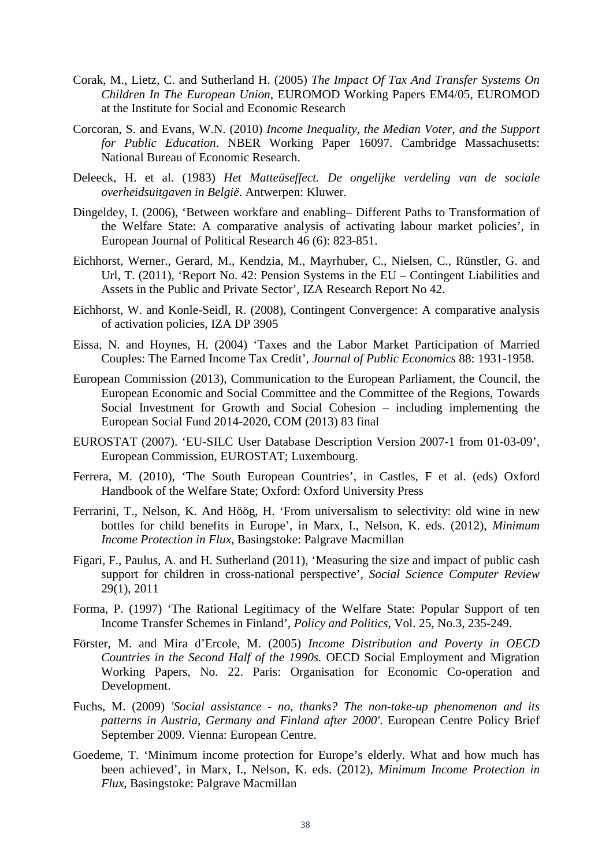- Corak, M., Lietz, C. and Sutherland H. (2005) *The Impact Of Tax And Transfer Systems On Children In The European Union*, EUROMOD Working Papers EM4/05, EUROMOD at the Institute for Social and Economic Research
- Corcoran, S. and Evans, W.N. (2010) *Income Inequality, the Median Voter, and the Support for Public Education*. NBER Working Paper 16097. Cambridge Massachusetts: National Bureau of Economic Research.
- Deleeck, H. et al. (1983) *Het Matteüseffect. De ongelijke verdeling van de sociale overheidsuitgaven in België*. Antwerpen: Kluwer.
- Dingeldey, I. (2006), 'Between workfare and enabling– Different Paths to Transformation of the Welfare State: A comparative analysis of activating labour market policies', in European Journal of Political Research 46 (6): 823-851.
- Eichhorst, Werner., Gerard, M., Kendzia, M., Mayrhuber, C., Nielsen, C., Rünstler, G. and Url, T. (2011), 'Report No. 42: Pension Systems in the EU – Contingent Liabilities and Assets in the Public and Private Sector', IZA Research Report No 42.
- Eichhorst, W. and Konle-Seidl, R. (2008), Contingent Convergence: A comparative analysis of activation policies, IZA DP 3905
- Eissa, N. and Hoynes, H. (2004) 'Taxes and the Labor Market Participation of Married Couples: The Earned Income Tax Credit', *Journal of Public Economics* 88: 1931-1958.
- European Commission (2013), Communication to the European Parliament, the Council, the European Economic and Social Committee and the Committee of the Regions, Towards Social Investment for Growth and Social Cohesion – including implementing the European Social Fund 2014-2020, COM (2013) 83 final
- EUROSTAT (2007). 'EU-SILC User Database Description Version 2007-1 from 01-03-09', European Commission, EUROSTAT; Luxembourg.
- Ferrera, M. (2010), 'The South European Countries', in Castles, F et al. (eds) Oxford Handbook of the Welfare State; Oxford: Oxford University Press
- Ferrarini, T., Nelson, K. And Höög, H. 'From universalism to selectivity: old wine in new bottles for child benefits in Europe', in Marx, I., Nelson, K. eds. (2012), *Minimum Income Protection in Flux*, Basingstoke: Palgrave Macmillan
- Figari, F., Paulus, A. and H. Sutherland (2011), 'Measuring the size and impact of public cash support for children in cross-national perspective', *Social Science Computer Review*  29(1), 2011
- Forma, P. (1997) 'The Rational Legitimacy of the Welfare State: Popular Support of ten Income Transfer Schemes in Finland', *Policy and Politics,* Vol. 25, No.3*,* 235-249.
- Förster, M. and Mira d'Ercole, M. (2005) *Income Distribution and Poverty in OECD Countries in the Second Half of the 1990s.* OECD Social Employment and Migration Working Papers, No. 22. Paris: Organisation for Economic Co-operation and Development.
- Fuchs, M. (2009) *'Social assistance - no, thanks? The non-take-up phenomenon and its patterns in Austria, Germany and Finland after 2000'*. European Centre Policy Brief September 2009. Vienna: European Centre.
- Goedeme, T. 'Minimum income protection for Europe's elderly. What and how much has been achieved', in Marx, I., Nelson, K. eds. (2012), *Minimum Income Protection in Flux*, Basingstoke: Palgrave Macmillan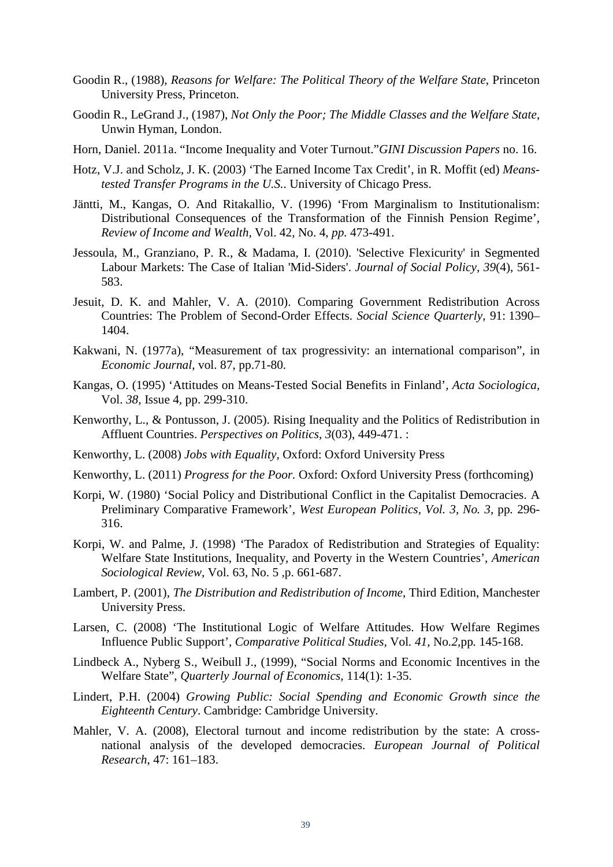- Goodin R., (1988), *Reasons for Welfare: The Political Theory of the Welfare State*, Princeton University Press, Princeton.
- Goodin R., LeGrand J., (1987), *Not Only the Poor; The Middle Classes and the Welfare State*, Unwin Hyman, London.
- Horn, Daniel. 2011a. "Income Inequality and Voter Turnout."*GINI Discussion Papers* no. 16.
- Hotz, V.J. and Scholz, J. K. (2003) 'The Earned Income Tax Credit', in R. Moffit (ed) *Meanstested Transfer Programs in the U.S.*. University of Chicago Press.
- Jäntti, M., Kangas, O. And Ritakallio, V. (1996) 'From Marginalism to Institutionalism: Distributional Consequences of the Transformation of the Finnish Pension Regime', *Review of Income and Wealth,* Vol. 42, No. 4, *pp.* 473-491.
- Jessoula, M., Granziano, P. R., & Madama, I. (2010). 'Selective Flexicurity' in Segmented Labour Markets: The Case of Italian 'Mid-Siders'. *Journal of Social Policy, 39*(4), 561- 583.
- Jesuit, D. K. and Mahler, V. A. (2010). Comparing Government Redistribution Across Countries: The Problem of Second-Order Effects. *Social Science Quarterly*, 91: 1390– 1404.
- Kakwani, N. (1977a), "Measurement of tax progressivity: an international comparison", in *Economic Journal*, vol. 87, pp.71-80.
- Kangas, O. (1995) 'Attitudes on Means-Tested Social Benefits in Finland', *Acta Sociologica,* Vol. *38,* Issue 4*,* pp. 299-310.
- Kenworthy, L., & Pontusson, J. (2005). Rising Inequality and the Politics of Redistribution in Affluent Countries. *Perspectives on Politics, 3*(03), 449-471. :
- Kenworthy, L. (2008) *Jobs with Equality*, Oxford: Oxford University Press
- Kenworthy, L. (2011) *Progress for the Poor.* Oxford: Oxford University Press (forthcoming)
- Korpi, W. (1980) 'Social Policy and Distributional Conflict in the Capitalist Democracies. A Preliminary Comparative Framework', *West European Politics, Vol. 3, No. 3,* pp*.* 296- 316.
- Korpi, W. and Palme, J. (1998) 'The Paradox of Redistribution and Strategies of Equality: Welfare State Institutions, Inequality, and Poverty in the Western Countries', *American Sociological Review,* Vol*.* 63, No. 5 ,p. 661-687.
- Lambert, P. (2001), *The Distribution and Redistribution of Income*, Third Edition, Manchester University Press.
- Larsen, C. (2008) 'The Institutional Logic of Welfare Attitudes. How Welfare Regimes Influence Public Support', *Comparative Political Studies,* Vol*. 41,* No*.2,*pp*.* 145-168.
- Lindbeck A., Nyberg S., Weibull J., (1999), "Social Norms and Economic Incentives in the Welfare State", *Quarterly Journal of Economics*, 114(1): 1-35.
- Lindert, P.H. (2004) *Growing Public: Social Spending and Economic Growth since the Eighteenth Century*. Cambridge: Cambridge University.
- Mahler, V. A. (2008), Electoral turnout and income redistribution by the state: A crossnational analysis of the developed democracies. *European Journal of Political Research*, 47: 161–183.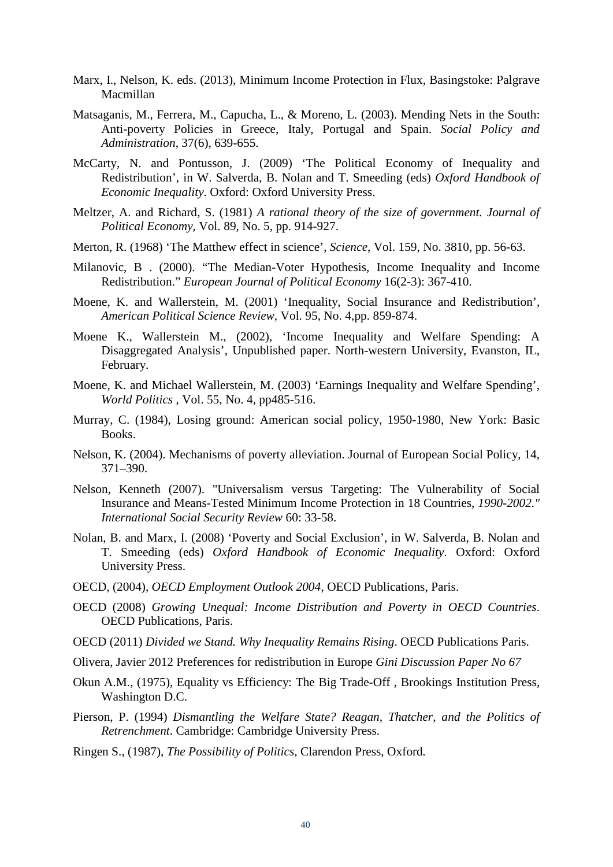- Marx, I., Nelson, K. eds. (2013), Minimum Income Protection in Flux, Basingstoke: Palgrave Macmillan
- Matsaganis, M., Ferrera, M., Capucha, L., & Moreno, L. (2003). Mending Nets in the South: Anti-poverty Policies in Greece, Italy, Portugal and Spain. *Social Policy and Administration*, 37(6), 639-655.
- McCarty, N. and Pontusson, J. (2009) 'The Political Economy of Inequality and Redistribution', in W. Salverda, B. Nolan and T. Smeeding (eds) *Oxford Handbook of Economic Inequality*. Oxford: Oxford University Press.
- Meltzer, A. and Richard, S. (1981) *A rational theory of the size of government. Journal of Political Economy*, Vol. 89, No. 5, pp. 914-927.
- Merton, R. (1968) 'The Matthew effect in science', *Science*, Vol. 159, No. 3810, pp. 56-63.
- Milanovic, B . (2000). "The Median-Voter Hypothesis, Income Inequality and Income Redistribution." *European Journal of Political Economy* 16(2-3): 367-410.
- Moene, K. and Wallerstein, M. (2001) 'Inequality, Social Insurance and Redistribution', *American Political Science Review,* Vol. 95, No. 4,pp. 859-874.
- Moene K., Wallerstein M., (2002), 'Income Inequality and Welfare Spending: A Disaggregated Analysis', Unpublished paper. North-western University, Evanston, IL, February.
- Moene, K. and Michael Wallerstein, M. (2003) 'Earnings Inequality and Welfare Spending', *World Politics* , Vol. 55, No. 4, pp485-516.
- Murray, C. (1984), Losing ground: American social policy, 1950-1980, New York: Basic Books.
- Nelson, K. (2004). Mechanisms of poverty alleviation. Journal of European Social Policy, 14, 371–390.
- Nelson, Kenneth (2007). "Universalism versus Targeting: The Vulnerability of Social Insurance and Means-Tested Minimum Income Protection in 18 Countries, *1990-2002." International Social Security Review* 60: 33-58.
- Nolan, B. and Marx, I. (2008) 'Poverty and Social Exclusion', in W. Salverda, B. Nolan and T. Smeeding (eds) *Oxford Handbook of Economic Inequality*. Oxford: Oxford University Press.
- OECD, (2004), *OECD Employment Outlook 2004*, OECD Publications, Paris.
- OECD (2008) *Growing Unequal: Income Distribution and Poverty in OECD Countries*. OECD Publications, Paris.
- OECD (2011) *Divided we Stand. Why Inequality Remains Rising*. OECD Publications Paris.
- Olivera, Javier 2012 Preferences for redistribution in Europe *Gini Discussion Paper No 67*
- Okun A.M., (1975), Equality vs Efficiency: The Big Trade-Off , Brookings Institution Press, Washington D.C.
- Pierson, P. (1994) *Dismantling the Welfare State? Reagan, Thatcher, and the Politics of Retrenchment*. Cambridge: Cambridge University Press.
- Ringen S., (1987), *The Possibility of Politics,* Clarendon Press, Oxford*.*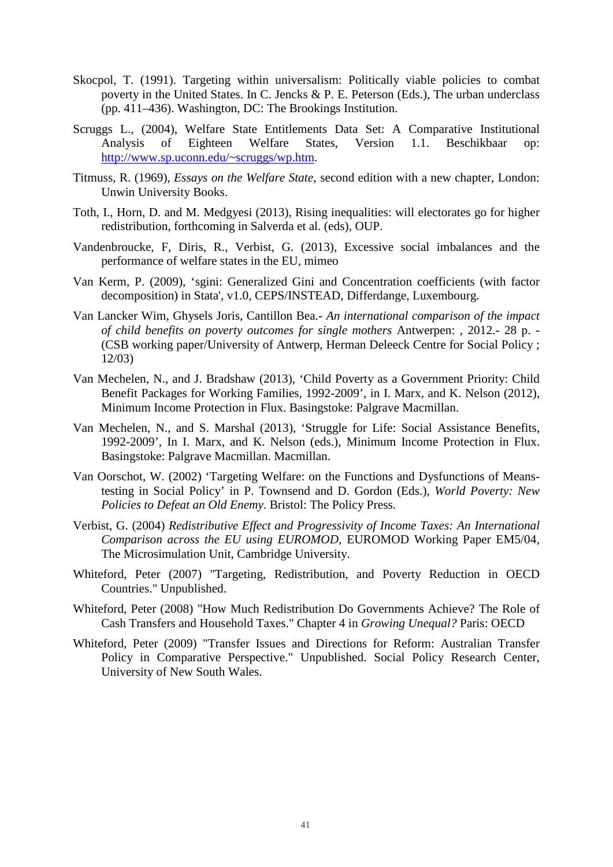- Skocpol, T. (1991). Targeting within universalism: Politically viable policies to combat poverty in the United States. In C. Jencks & P. E. Peterson (Eds.), The urban underclass (pp. 411–436). Washington, DC: The Brookings Institution.
- Scruggs L., (2004), Welfare State Entitlements Data Set: A Comparative Institutional<br>Analysis of Eighteen Welfare States, Version 1.1. Beschikbaar op: of Eighteen Welfare States, Version 1.1. Beschikbaar op: [http://www.sp.uconn.edu/~scruggs/wp.htm.](http://www.sp.uconn.edu/~scruggs/wp.htm)
- Titmuss, R. (1969), *Essays on the Welfare State*, second edition with a new chapter, London: Unwin University Books.
- Toth, I., Horn, D. and M. Medgyesi (2013), Rising inequalities: will electorates go for higher redistribution, forthcoming in Salverda et al. (eds), OUP.
- Vandenbroucke, F, Diris, R., Verbist, G. (2013), Excessive social imbalances and the performance of welfare states in the EU, mimeo
- Van Kerm, P. (2009), 'sgini: Generalized Gini and Concentration coefficients (with factor decomposition) in Stata', v1.0, CEPS/INSTEAD, Differdange, Luxembourg.
- Van Lancker Wim, [Ghysels Joris,](http://anet.ua.ac.be/acadbib/ua/05535) [Cantillon Bea.](http://anet.ua.ac.be/acadbib/ua/05950) *An international comparison of the impact of child benefits on poverty outcomes for single mothers* Antwerpen: , 2012.- 28 p. - (CSB working paper/University of Antwerp, Herman Deleeck Centre for Social Policy ; 12/03)
- Van Mechelen, N., and J. Bradshaw (2013), 'Child Poverty as a Government Priority: Child Benefit Packages for Working Families, 1992-2009', in I. Marx, and K. Nelson (2012), Minimum Income Protection in Flux. Basingstoke: Palgrave Macmillan.
- Van Mechelen, N., and S. Marshal (2013), 'Struggle for Life: Social Assistance Benefits, 1992-2009', In I. Marx, and K. Nelson (eds.), Minimum Income Protection in Flux. Basingstoke: Palgrave Macmillan. Macmillan.
- Van Oorschot, W. (2002) 'Targeting Welfare: on the Functions and Dysfunctions of Meanstesting in Social Policy' in P. Townsend and D. Gordon (Eds.), *World Poverty: New Policies to Defeat an Old Enemy*. Bristol: The Policy Press.
- Verbist, G. (2004) *Redistributive Effect and Progressivity of Income Taxes: An International Comparison across the EU using EUROMOD*, EUROMOD Working Paper EM5/04, The Microsimulation Unit, Cambridge University.
- Whiteford, Peter (2007) "Targeting, Redistribution, and Poverty Reduction in OECD Countries." Unpublished.
- Whiteford, Peter (2008) "How Much Redistribution Do Governments Achieve? The Role of Cash Transfers and Household Taxes." Chapter 4 in *Growing Unequal?* Paris: OECD
- Whiteford, Peter (2009) "Transfer Issues and Directions for Reform: Australian Transfer Policy in Comparative Perspective." Unpublished. Social Policy Research Center, University of New South Wales.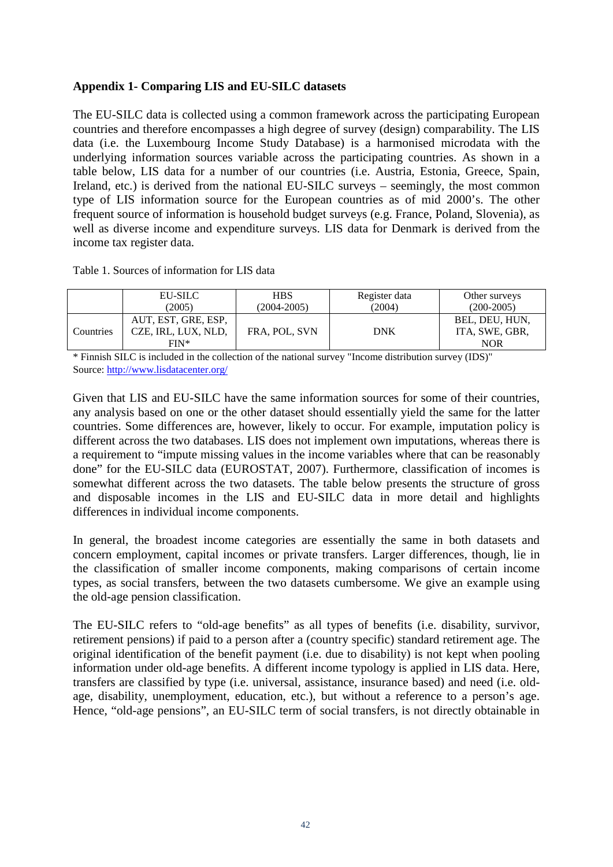## **Appendix 1- Comparing LIS and EU-SILC datasets**

The EU-SILC data is collected using a common framework across the participating European countries and therefore encompasses a high degree of survey (design) comparability. The LIS data (i.e. the Luxembourg Income Study Database) is a harmonised microdata with the underlying information sources variable across the participating countries. As shown in a table below, LIS data for a number of our countries (i.e. Austria, Estonia, Greece, Spain, Ireland, etc.) is derived from the national EU-SILC surveys – seemingly, the most common type of LIS information source for the European countries as of mid 2000's. The other frequent source of information is household budget surveys (e.g. France, Poland, Slovenia), as well as diverse income and expenditure surveys. LIS data for Denmark is derived from the income tax register data.

#### Table 1. Sources of information for LIS data

|           | EU-SILC<br>(2005)                          | <b>HBS</b><br>$(2004 - 2005)$ | Register data<br>(2004) | Other surveys<br>$(200-2005)$    |
|-----------|--------------------------------------------|-------------------------------|-------------------------|----------------------------------|
| Countries | AUT, EST, GRE, ESP,<br>CZE, IRL, LUX, NLD, | FRA. POL. SVN                 | <b>DNK</b>              | BEL, DEU, HUN.<br>ITA, SWE, GBR, |
|           | $FIN*$                                     |                               |                         | <b>NOR</b>                       |

\* Finnish SILC is included in the collection of the national survey "Income distribution survey (IDS)" Source:<http://www.lisdatacenter.org/>

Given that LIS and EU-SILC have the same information sources for some of their countries, any analysis based on one or the other dataset should essentially yield the same for the latter countries. Some differences are, however, likely to occur. For example, imputation policy is different across the two databases. LIS does not implement own imputations, whereas there is a requirement to "impute missing values in the income variables where that can be reasonably done" for the EU-SILC data (EUROSTAT, 2007). Furthermore, classification of incomes is somewhat different across the two datasets. The table below presents the structure of gross and disposable incomes in the LIS and EU-SILC data in more detail and highlights differences in individual income components.

In general, the broadest income categories are essentially the same in both datasets and concern employment, capital incomes or private transfers. Larger differences, though, lie in the classification of smaller income components, making comparisons of certain income types, as social transfers, between the two datasets cumbersome. We give an example using the old-age pension classification.

The EU-SILC refers to "old-age benefits" as all types of benefits (i.e. disability, survivor, retirement pensions) if paid to a person after a (country specific) standard retirement age. The original identification of the benefit payment (i.e. due to disability) is not kept when pooling information under old-age benefits. A different income typology is applied in LIS data. Here, transfers are classified by type (i.e. universal, assistance, insurance based) and need (i.e. oldage, disability, unemployment, education, etc.), but without a reference to a person's age. Hence, "old-age pensions", an EU-SILC term of social transfers, is not directly obtainable in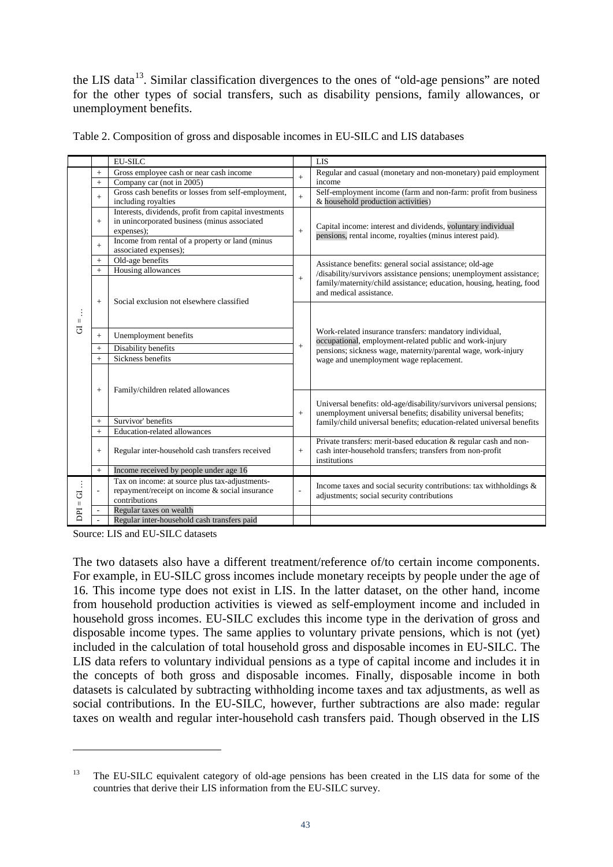the LIS data<sup>13</sup>. Similar classification divergences to the ones of "old-age pensions" are noted for the other types of social transfers, such as disability pensions, family allowances, or unemployment benefits.

|                                     |           | <b>EU-SILC</b>                                                                                                      |           | <b>LIS</b>                                                                                                                                    |  |  |  |  |
|-------------------------------------|-----------|---------------------------------------------------------------------------------------------------------------------|-----------|-----------------------------------------------------------------------------------------------------------------------------------------------|--|--|--|--|
|                                     | $\ddot{}$ | Gross employee cash or near cash income                                                                             | $\ddot{}$ | Regular and casual (monetary and non-monetary) paid employment                                                                                |  |  |  |  |
|                                     | $+$       | Company car (not in 2005)                                                                                           |           | income                                                                                                                                        |  |  |  |  |
|                                     | $+$       | Gross cash benefits or losses from self-employment,<br>including royalties                                          |           | Self-employment income (farm and non-farm: profit from business<br>& household production activities)                                         |  |  |  |  |
|                                     | $+$       | Interests, dividends, profit from capital investments<br>in unincorporated business (minus associated<br>expenses); |           | Capital income: interest and dividends, voluntary individual<br>pensions, rental income, royalties (minus interest paid).                     |  |  |  |  |
|                                     | $+$       | Income from rental of a property or land (minus<br>associated expenses);                                            |           |                                                                                                                                               |  |  |  |  |
|                                     | $+$       | Old-age benefits                                                                                                    |           | Assistance benefits: general social assistance; old-age                                                                                       |  |  |  |  |
|                                     | $+$       | Housing allowances                                                                                                  | $\ddot{}$ | /disability/survivors assistance pensions; unemployment assistance;                                                                           |  |  |  |  |
|                                     | $+$       | Social exclusion not elsewhere classified                                                                           |           | family/maternity/child assistance; education, housing, heating, food<br>and medical assistance.                                               |  |  |  |  |
| $\vert\vert$                        |           |                                                                                                                     |           |                                                                                                                                               |  |  |  |  |
| $\overline{5}$                      | $+$       | Unemployment benefits                                                                                               |           | Work-related insurance transfers: mandatory individual,<br>occupational, employment-related public and work-injury                            |  |  |  |  |
|                                     | $+$       | Disability benefits                                                                                                 | $\ddot{}$ | pensions; sickness wage, maternity/parental wage, work-injury                                                                                 |  |  |  |  |
|                                     | $+$       | Sickness benefits                                                                                                   |           | wage and unemployment wage replacement.                                                                                                       |  |  |  |  |
|                                     | $+$       | Family/children related allowances                                                                                  |           |                                                                                                                                               |  |  |  |  |
|                                     |           |                                                                                                                     |           | Universal benefits: old-age/disability/survivors universal pensions;<br>unemployment universal benefits; disability universal benefits;       |  |  |  |  |
|                                     | $^{+}$    | Survivor' benefits                                                                                                  |           | family/child universal benefits; education-related universal benefits                                                                         |  |  |  |  |
|                                     | $\ddot{}$ | Education-related allowances                                                                                        |           |                                                                                                                                               |  |  |  |  |
|                                     | $+$       | Regular inter-household cash transfers received                                                                     |           | Private transfers: merit-based education & regular cash and non-<br>cash inter-household transfers; transfers from non-profit<br>institutions |  |  |  |  |
|                                     | $\pm$     | Income received by people under age 16                                                                              |           |                                                                                                                                               |  |  |  |  |
| ÷<br>$\overline{G}$<br>$\vert\vert$ |           | Tax on income: at source plus tax-adjustments-<br>repayment/receipt on income & social insurance<br>contributions   |           | Income taxes and social security contributions: tax withholdings &<br>adjustments; social security contributions                              |  |  |  |  |
| DPI                                 |           | Regular taxes on wealth                                                                                             |           |                                                                                                                                               |  |  |  |  |
|                                     |           | Regular inter-household cash transfers paid                                                                         |           |                                                                                                                                               |  |  |  |  |

Source: LIS and EU-SILC datasets

-

The two datasets also have a different treatment/reference of/to certain income components. For example, in EU-SILC gross incomes include monetary receipts by people under the age of 16. This income type does not exist in LIS. In the latter dataset, on the other hand, income from household production activities is viewed as self-employment income and included in household gross incomes. EU-SILC excludes this income type in the derivation of gross and disposable income types. The same applies to voluntary private pensions, which is not (yet) included in the calculation of total household gross and disposable incomes in EU-SILC. The LIS data refers to voluntary individual pensions as a type of capital income and includes it in the concepts of both gross and disposable incomes. Finally, disposable income in both datasets is calculated by subtracting withholding income taxes and tax adjustments, as well as social contributions. In the EU-SILC, however, further subtractions are also made: regular taxes on wealth and regular inter-household cash transfers paid. Though observed in the LIS

<sup>&</sup>lt;sup>13</sup> The EU-SILC equivalent category of old-age pensions has been created in the LIS data for some of the countries that derive their LIS information from the EU-SILC survey.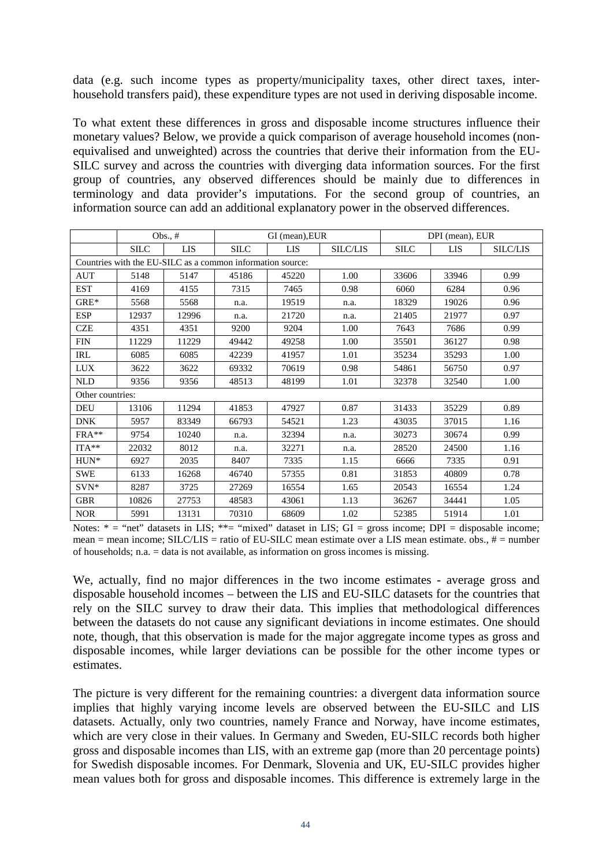data (e.g. such income types as property/municipality taxes, other direct taxes, interhousehold transfers paid), these expenditure types are not used in deriving disposable income.

To what extent these differences in gross and disposable income structures influence their monetary values? Below, we provide a quick comparison of average household incomes (nonequivalised and unweighted) across the countries that derive their information from the EU-SILC survey and across the countries with diverging data information sources. For the first group of countries, any observed differences should be mainly due to differences in terminology and data provider's imputations. For the second group of countries, an information source can add an additional explanatory power in the observed differences.

|                                                            |             | Obs., $#$  |               | GI (mean), EUR |                 | DPI (mean), EUR |       |                 |  |  |
|------------------------------------------------------------|-------------|------------|---------------|----------------|-----------------|-----------------|-------|-----------------|--|--|
|                                                            | <b>SILC</b> | <b>LIS</b> | <b>SILC</b>   | LIS            | <b>SILC/LIS</b> | <b>SILC</b>     | LIS   | <b>SILC/LIS</b> |  |  |
| Countries with the EU-SILC as a common information source: |             |            |               |                |                 |                 |       |                 |  |  |
| <b>AUT</b>                                                 | 5148        | 5147       | 45186         | 45220          | 1.00            | 33606           | 33946 | 0.99            |  |  |
| <b>EST</b>                                                 | 4169        | 4155       | 7315          | 7465           | 0.98            | 6060            | 6284  | 0.96            |  |  |
| $GRE*$                                                     | 5568        | 5568       | n.a.          | 19519          |                 | 18329           | 19026 | 0.96            |  |  |
| <b>ESP</b>                                                 | 12937       | 12996      | 21720<br>n.a. |                | n.a.            | 21405           | 21977 | 0.97            |  |  |
| <b>CZE</b>                                                 | 4351        | 4351       | 9200<br>9204  |                | 1.00            | 7643            | 7686  | 0.99            |  |  |
| <b>FIN</b>                                                 | 11229       | 11229      | 49442         | 49258          | 1.00            | 35501           | 36127 | 0.98            |  |  |
| <b>IRL</b>                                                 | 6085        | 6085       | 42239         | 41957          | 1.01            | 35234           | 35293 | 1.00            |  |  |
| <b>LUX</b>                                                 | 3622        | 3622       | 69332         | 70619          | 0.98            | 54861           | 56750 | 0.97            |  |  |
| <b>NLD</b>                                                 | 9356        | 9356       | 48513         | 48199          | 1.01            | 32378           | 32540 | 1.00            |  |  |
| Other countries:                                           |             |            |               |                |                 |                 |       |                 |  |  |
| <b>DEU</b>                                                 | 13106       | 11294      | 41853         | 47927          | 0.87            | 31433           | 35229 | 0.89            |  |  |
| <b>DNK</b>                                                 | 5957        | 83349      | 66793         | 54521          | 1.23            | 43035           | 37015 | 1.16            |  |  |
| $FRA**$                                                    | 9754        | 10240      | n.a.          | 32394          | n.a.            | 30273           | 30674 | 0.99            |  |  |
| $ITA**$                                                    | 22032       | 8012       | n.a.          | 32271          | n.a.            | 28520           | 24500 | 1.16            |  |  |
| HUN*                                                       | 6927        | 2035       | 8407          | 7335           | 1.15            | 6666            | 7335  | 0.91            |  |  |
| <b>SWE</b>                                                 | 6133        | 16268      | 46740         | 57355          | 0.81            | 31853           | 40809 | 0.78            |  |  |
| $SVN*$                                                     | 8287        | 3725       | 27269         | 16554          | 1.65            | 20543           | 16554 | 1.24            |  |  |
| <b>GBR</b>                                                 | 10826       | 27753      | 48583         | 43061          | 1.13            | 36267           | 34441 | 1.05            |  |  |
| <b>NOR</b>                                                 | 5991        | 13131      | 70310         | 68609          | 1.02            | 52385           | 51914 | 1.01            |  |  |

Notes:  $* =$  "net" datasets in LIS;  $** =$  "mixed" dataset in LIS; GI = gross income; DPI = disposable income; mean = mean income; SILC/LIS = ratio of EU-SILC mean estimate over a LIS mean estimate. obs., # = number of households; n.a. = data is not available, as information on gross incomes is missing.

We, actually, find no major differences in the two income estimates - average gross and disposable household incomes – between the LIS and EU-SILC datasets for the countries that rely on the SILC survey to draw their data. This implies that methodological differences between the datasets do not cause any significant deviations in income estimates. One should note, though, that this observation is made for the major aggregate income types as gross and disposable incomes, while larger deviations can be possible for the other income types or estimates.

The picture is very different for the remaining countries: a divergent data information source implies that highly varying income levels are observed between the EU-SILC and LIS datasets. Actually, only two countries, namely France and Norway, have income estimates, which are very close in their values. In Germany and Sweden, EU-SILC records both higher gross and disposable incomes than LIS, with an extreme gap (more than 20 percentage points) for Swedish disposable incomes. For Denmark, Slovenia and UK, EU-SILC provides higher mean values both for gross and disposable incomes. This difference is extremely large in the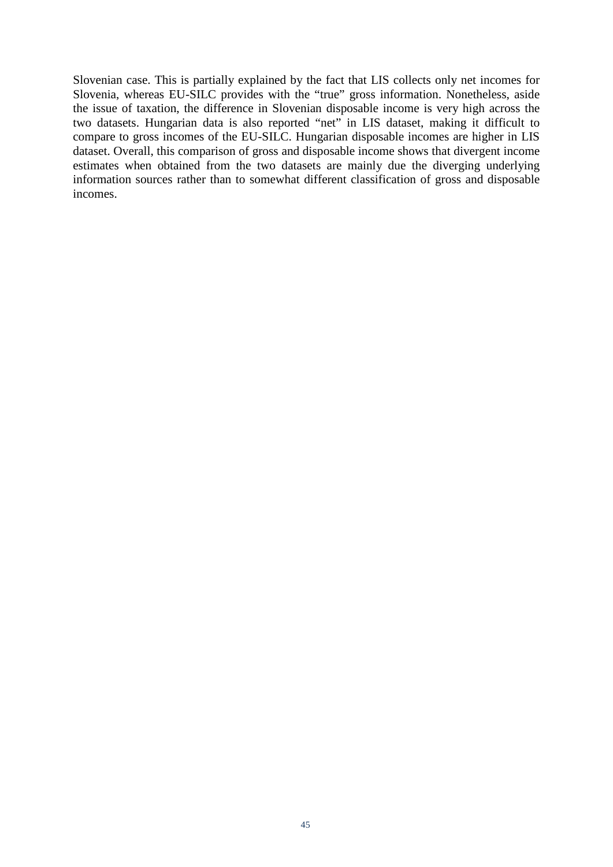Slovenian case. This is partially explained by the fact that LIS collects only net incomes for Slovenia, whereas EU-SILC provides with the "true" gross information. Nonetheless, aside the issue of taxation, the difference in Slovenian disposable income is very high across the two datasets. Hungarian data is also reported "net" in LIS dataset, making it difficult to compare to gross incomes of the EU-SILC. Hungarian disposable incomes are higher in LIS dataset. Overall, this comparison of gross and disposable income shows that divergent income estimates when obtained from the two datasets are mainly due the diverging underlying information sources rather than to somewhat different classification of gross and disposable incomes.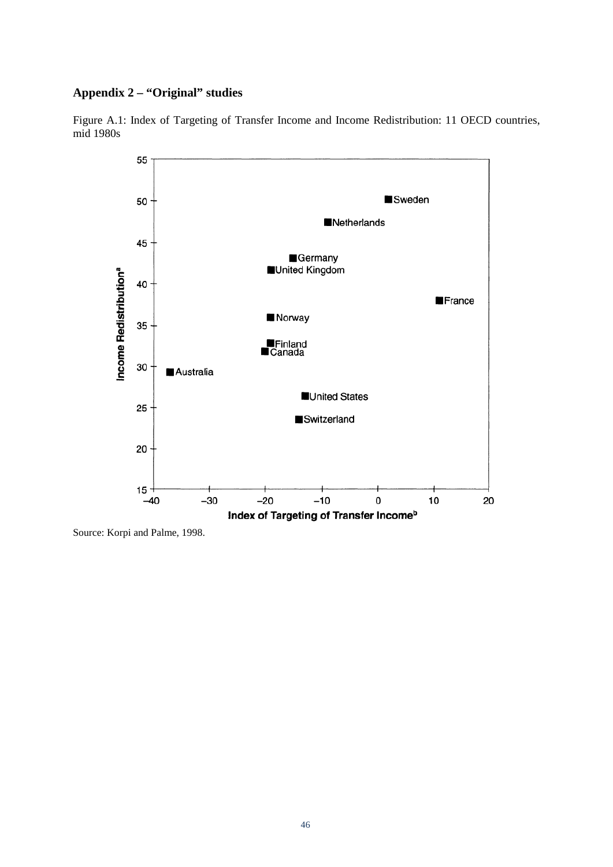## **Appendix 2 – "Original" studies**

![](_page_46_Figure_1.jpeg)

![](_page_46_Figure_2.jpeg)

Source: Korpi and Palme, 1998.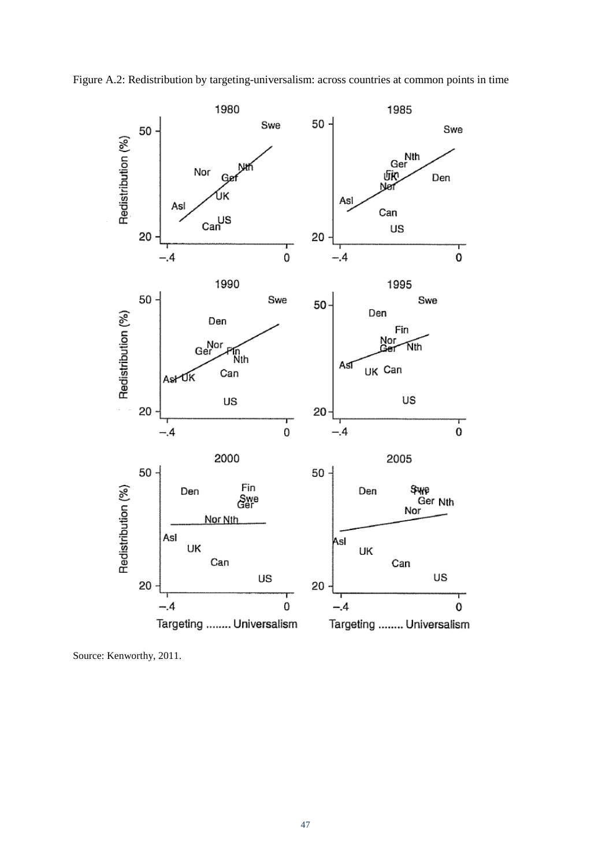![](_page_47_Figure_0.jpeg)

Figure A.2: Redistribution by targeting-universalism: across countries at common points in time

Source: Kenworthy, 2011.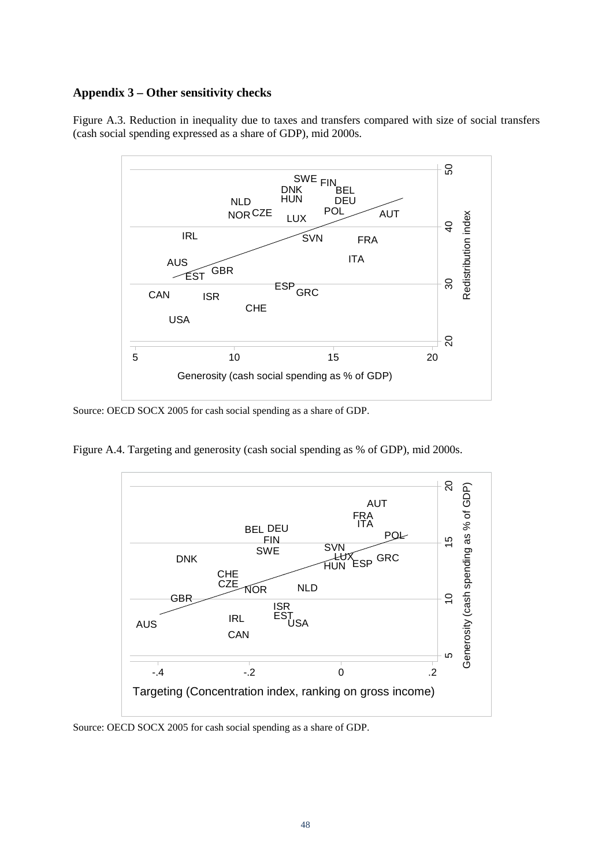## **Appendix 3 – Other sensitivity checks**

Figure A.3. Reduction in inequality due to taxes and transfers compared with size of social transfers (cash social spending expressed as a share of GDP), mid 2000s.

![](_page_48_Figure_2.jpeg)

Source: OECD SOCX 2005 for cash social spending as a share of GDP.

Figure A.4. Targeting and generosity (cash social spending as % of GDP), mid 2000s.

![](_page_48_Figure_5.jpeg)

Source: OECD SOCX 2005 for cash social spending as a share of GDP.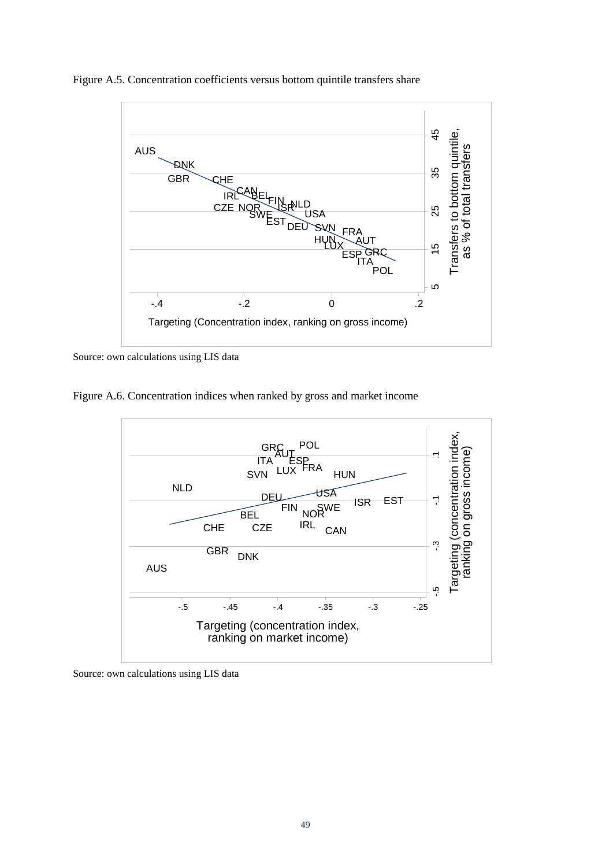![](_page_49_Figure_0.jpeg)

Figure A.5. Concentration coefficients versus bottom quintile transfers share

Source: own calculations using LIS data

Figure A.6. Concentration indices when ranked by gross and market income

![](_page_49_Figure_4.jpeg)

Source: own calculations using LIS data